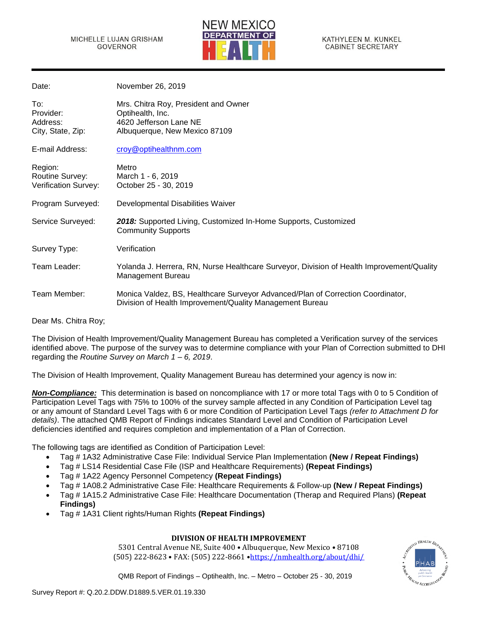

KATHYLEEN M. KUNKEL **CABINET SECRETARY** 

| Date:                                              | November 26, 2019                                                                                                                           |
|----------------------------------------------------|---------------------------------------------------------------------------------------------------------------------------------------------|
| To:<br>Provider:<br>Address:<br>City, State, Zip:  | Mrs. Chitra Roy, President and Owner<br>Optihealth, Inc.<br>4620 Jefferson Lane NE<br>Albuquerque, New Mexico 87109                         |
| E-mail Address:                                    | croy@optihealthnm.com                                                                                                                       |
| Region:<br>Routine Survey:<br>Verification Survey: | Metro<br>March 1 - 6, 2019<br>October 25 - 30, 2019                                                                                         |
| Program Surveyed:                                  | Developmental Disabilities Waiver                                                                                                           |
| Service Surveyed:                                  | 2018: Supported Living, Customized In-Home Supports, Customized<br><b>Community Supports</b>                                                |
| Survey Type:                                       | Verification                                                                                                                                |
| Team Leader:                                       | Yolanda J. Herrera, RN, Nurse Healthcare Surveyor, Division of Health Improvement/Quality<br>Management Bureau                              |
| Team Member:                                       | Monica Valdez, BS, Healthcare Surveyor Advanced/Plan of Correction Coordinator,<br>Division of Health Improvement/Quality Management Bureau |
|                                                    |                                                                                                                                             |

Dear Ms. Chitra Roy;

The Division of Health Improvement/Quality Management Bureau has completed a Verification survey of the services identified above. The purpose of the survey was to determine compliance with your Plan of Correction submitted to DHI regarding the *Routine Survey on March 1 – 6, 2019*.

The Division of Health Improvement, Quality Management Bureau has determined your agency is now in:

*Non-Compliance:* This determination is based on noncompliance with 17 or more total Tags with 0 to 5 Condition of Participation Level Tags with 75% to 100% of the survey sample affected in any Condition of Participation Level tag or any amount of Standard Level Tags with 6 or more Condition of Participation Level Tags *(refer to Attachment D for details)*. The attached QMB Report of Findings indicates Standard Level and Condition of Participation Level deficiencies identified and requires completion and implementation of a Plan of Correction.

The following tags are identified as Condition of Participation Level:

- Tag # 1A32 Administrative Case File: Individual Service Plan Implementation **(New / Repeat Findings)**
- Tag # LS14 Residential Case File (ISP and Healthcare Requirements) **(Repeat Findings)**
- Tag # 1A22 Agency Personnel Competency **(Repeat Findings)**
- Tag # 1A08.2 Administrative Case File: Healthcare Requirements & Follow-up **(New / Repeat Findings)**
- Tag # 1A15.2 Administrative Case File: Healthcare Documentation (Therap and Required Plans) **(Repeat Findings)**
- Tag # 1A31 Client rights/Human Rights **(Repeat Findings)**

# **DIVISION OF HEALTH IMPROVEMENT**

5301 Central Avenue NE, Suite 400 • Albuquerque, New Mexico • 87108 (505) 222-8623 • FAX: (505) 222-8661 •<https://nmhealth.org/about/dhi/>

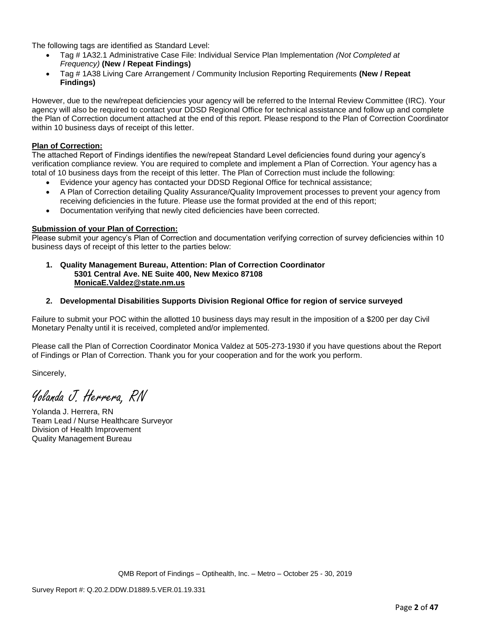The following tags are identified as Standard Level:

- Tag # 1A32.1 Administrative Case File: Individual Service Plan Implementation *(Not Completed at Frequency)* **(New / Repeat Findings)**
- Tag # 1A38 Living Care Arrangement / Community Inclusion Reporting Requirements **(New / Repeat Findings)**

However, due to the new/repeat deficiencies your agency will be referred to the Internal Review Committee (IRC). Your agency will also be required to contact your DDSD Regional Office for technical assistance and follow up and complete the Plan of Correction document attached at the end of this report. Please respond to the Plan of Correction Coordinator within 10 business days of receipt of this letter.

#### **Plan of Correction:**

The attached Report of Findings identifies the new/repeat Standard Level deficiencies found during your agency's verification compliance review. You are required to complete and implement a Plan of Correction. Your agency has a total of 10 business days from the receipt of this letter. The Plan of Correction must include the following:

- Evidence your agency has contacted your DDSD Regional Office for technical assistance;
- A Plan of Correction detailing Quality Assurance/Quality Improvement processes to prevent your agency from receiving deficiencies in the future. Please use the format provided at the end of this report;
- Documentation verifying that newly cited deficiencies have been corrected.

#### **Submission of your Plan of Correction:**

Please submit your agency's Plan of Correction and documentation verifying correction of survey deficiencies within 10 business days of receipt of this letter to the parties below:

**1. Quality Management Bureau, Attention: Plan of Correction Coordinator 5301 Central Ave. NE Suite 400, New Mexico 87108 [MonicaE.Valdez@state.nm.us](mailto:MonicaE.Valdez@state.nm.us)**

#### **2. Developmental Disabilities Supports Division Regional Office for region of service surveyed**

Failure to submit your POC within the allotted 10 business days may result in the imposition of a \$200 per day Civil Monetary Penalty until it is received, completed and/or implemented.

Please call the Plan of Correction Coordinator Monica Valdez at 505-273-1930 if you have questions about the Report of Findings or Plan of Correction. Thank you for your cooperation and for the work you perform.

Sincerely,

Yolanda J. Herrera, RN

Yolanda J. Herrera, RN Team Lead / Nurse Healthcare Surveyor Division of Health Improvement Quality Management Bureau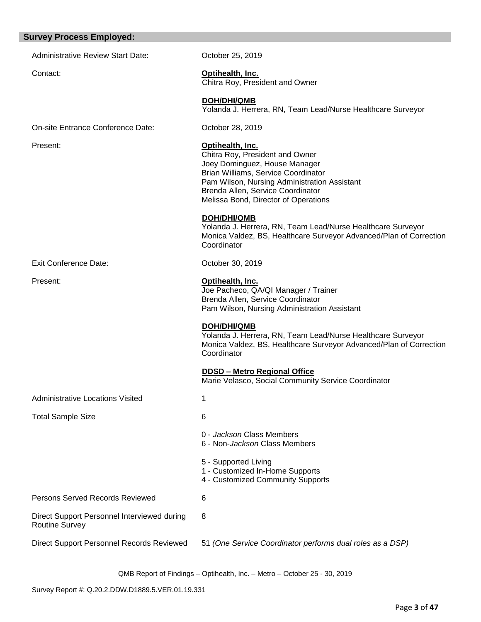# **Survey Process Employed:**

| <b>Administrative Review Start Date:</b>                             | October 25, 2019                                                                                                                                                                                                                                         |
|----------------------------------------------------------------------|----------------------------------------------------------------------------------------------------------------------------------------------------------------------------------------------------------------------------------------------------------|
| Contact:                                                             | Optihealth, Inc.<br>Chitra Roy, President and Owner                                                                                                                                                                                                      |
|                                                                      | DOH/DHI/QMB<br>Yolanda J. Herrera, RN, Team Lead/Nurse Healthcare Surveyor                                                                                                                                                                               |
| On-site Entrance Conference Date:                                    | October 28, 2019                                                                                                                                                                                                                                         |
| Present:                                                             | Optihealth, Inc.<br>Chitra Roy, President and Owner<br>Joey Dominguez, House Manager<br>Brian Williams, Service Coordinator<br>Pam Wilson, Nursing Administration Assistant<br>Brenda Allen, Service Coordinator<br>Melissa Bond, Director of Operations |
|                                                                      | <b>DOH/DHI/QMB</b><br>Yolanda J. Herrera, RN, Team Lead/Nurse Healthcare Surveyor<br>Monica Valdez, BS, Healthcare Surveyor Advanced/Plan of Correction<br>Coordinator                                                                                   |
| <b>Exit Conference Date:</b>                                         | October 30, 2019                                                                                                                                                                                                                                         |
| Present:                                                             | Optihealth, Inc.<br>Joe Pacheco, QA/QI Manager / Trainer<br>Brenda Allen, Service Coordinator<br>Pam Wilson, Nursing Administration Assistant                                                                                                            |
|                                                                      | <b>DOH/DHI/QMB</b><br>Yolanda J. Herrera, RN, Team Lead/Nurse Healthcare Surveyor<br>Monica Valdez, BS, Healthcare Surveyor Advanced/Plan of Correction<br>Coordinator                                                                                   |
|                                                                      | <b>DDSD - Metro Regional Office</b><br>Marie Velasco, Social Community Service Coordinator                                                                                                                                                               |
| <b>Administrative Locations Visited</b>                              |                                                                                                                                                                                                                                                          |
| <b>Total Sample Size</b>                                             | 6                                                                                                                                                                                                                                                        |
|                                                                      | 0 - Jackson Class Members<br>6 - Non- <i>Jackson</i> Class Members                                                                                                                                                                                       |
|                                                                      | 5 - Supported Living<br>1 - Customized In-Home Supports<br>4 - Customized Community Supports                                                                                                                                                             |
| <b>Persons Served Records Reviewed</b>                               | 6                                                                                                                                                                                                                                                        |
| Direct Support Personnel Interviewed during<br><b>Routine Survey</b> | 8                                                                                                                                                                                                                                                        |
| Direct Support Personnel Records Reviewed                            | 51 (One Service Coordinator performs dual roles as a DSP)                                                                                                                                                                                                |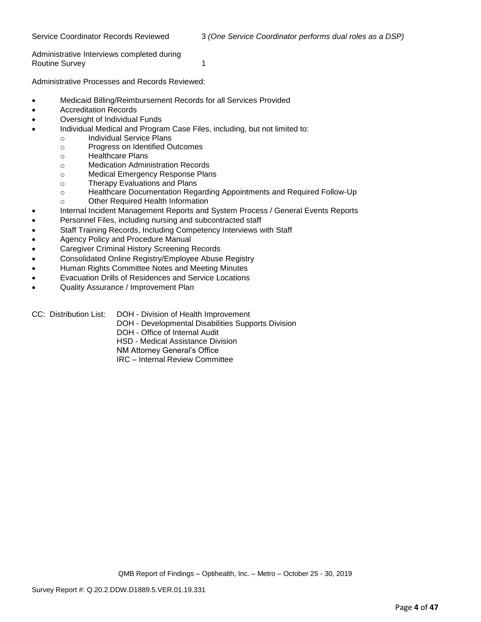Administrative Interviews completed during Routine Survey 1 and 1

Administrative Processes and Records Reviewed:

- Medicaid Billing/Reimbursement Records for all Services Provided
- Accreditation Records
- Oversight of Individual Funds
- Individual Medical and Program Case Files, including, but not limited to:
	- o Individual Service Plans
		- o Progress on Identified Outcomes
		- o Healthcare Plans
		- o Medication Administration Records
		- o Medical Emergency Response Plans
		- o Therapy Evaluations and Plans
		- o Healthcare Documentation Regarding Appointments and Required Follow-Up
		- o Other Required Health Information
- Internal Incident Management Reports and System Process / General Events Reports
- Personnel Files, including nursing and subcontracted staff
- Staff Training Records, Including Competency Interviews with Staff
- Agency Policy and Procedure Manual
- Caregiver Criminal History Screening Records
- Consolidated Online Registry/Employee Abuse Registry
- Human Rights Committee Notes and Meeting Minutes
- Evacuation Drills of Residences and Service Locations
- Quality Assurance / Improvement Plan
- CC: Distribution List: DOH Division of Health Improvement
	- DOH Developmental Disabilities Supports Division
	- DOH Office of Internal Audit
	- HSD Medical Assistance Division
	- NM Attorney General's Office
	- IRC Internal Review Committee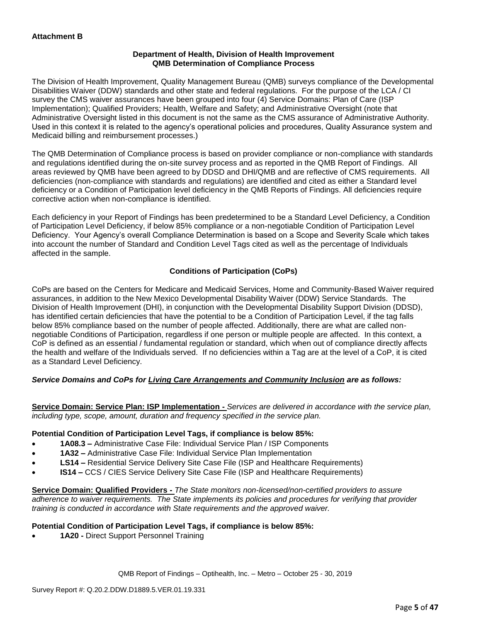#### **Department of Health, Division of Health Improvement QMB Determination of Compliance Process**

The Division of Health Improvement, Quality Management Bureau (QMB) surveys compliance of the Developmental Disabilities Waiver (DDW) standards and other state and federal regulations. For the purpose of the LCA / CI survey the CMS waiver assurances have been grouped into four (4) Service Domains: Plan of Care (ISP Implementation); Qualified Providers; Health, Welfare and Safety; and Administrative Oversight (note that Administrative Oversight listed in this document is not the same as the CMS assurance of Administrative Authority. Used in this context it is related to the agency's operational policies and procedures, Quality Assurance system and Medicaid billing and reimbursement processes.)

The QMB Determination of Compliance process is based on provider compliance or non-compliance with standards and regulations identified during the on-site survey process and as reported in the QMB Report of Findings. All areas reviewed by QMB have been agreed to by DDSD and DHI/QMB and are reflective of CMS requirements. All deficiencies (non-compliance with standards and regulations) are identified and cited as either a Standard level deficiency or a Condition of Participation level deficiency in the QMB Reports of Findings. All deficiencies require corrective action when non-compliance is identified.

Each deficiency in your Report of Findings has been predetermined to be a Standard Level Deficiency, a Condition of Participation Level Deficiency, if below 85% compliance or a non-negotiable Condition of Participation Level Deficiency. Your Agency's overall Compliance Determination is based on a Scope and Severity Scale which takes into account the number of Standard and Condition Level Tags cited as well as the percentage of Individuals affected in the sample.

# **Conditions of Participation (CoPs)**

CoPs are based on the Centers for Medicare and Medicaid Services, Home and Community-Based Waiver required assurances, in addition to the New Mexico Developmental Disability Waiver (DDW) Service Standards. The Division of Health Improvement (DHI), in conjunction with the Developmental Disability Support Division (DDSD), has identified certain deficiencies that have the potential to be a Condition of Participation Level, if the tag falls below 85% compliance based on the number of people affected. Additionally, there are what are called nonnegotiable Conditions of Participation, regardless if one person or multiple people are affected. In this context, a CoP is defined as an essential / fundamental regulation or standard, which when out of compliance directly affects the health and welfare of the Individuals served. If no deficiencies within a Tag are at the level of a CoP, it is cited as a Standard Level Deficiency.

# *Service Domains and CoPs for Living Care Arrangements and Community Inclusion are as follows:*

**Service Domain: Service Plan: ISP Implementation -** *Services are delivered in accordance with the service plan, including type, scope, amount, duration and frequency specified in the service plan.*

#### **Potential Condition of Participation Level Tags, if compliance is below 85%:**

- **1A08.3 –** Administrative Case File: Individual Service Plan / ISP Components
- **1A32 –** Administrative Case File: Individual Service Plan Implementation
- **LS14 –** Residential Service Delivery Site Case File (ISP and Healthcare Requirements)
- **IS14 –** CCS / CIES Service Delivery Site Case File (ISP and Healthcare Requirements)

**Service Domain: Qualified Providers -** *The State monitors non-licensed/non-certified providers to assure adherence to waiver requirements. The State implements its policies and procedures for verifying that provider training is conducted in accordance with State requirements and the approved waiver.*

#### **Potential Condition of Participation Level Tags, if compliance is below 85%:**

• **1A20 -** Direct Support Personnel Training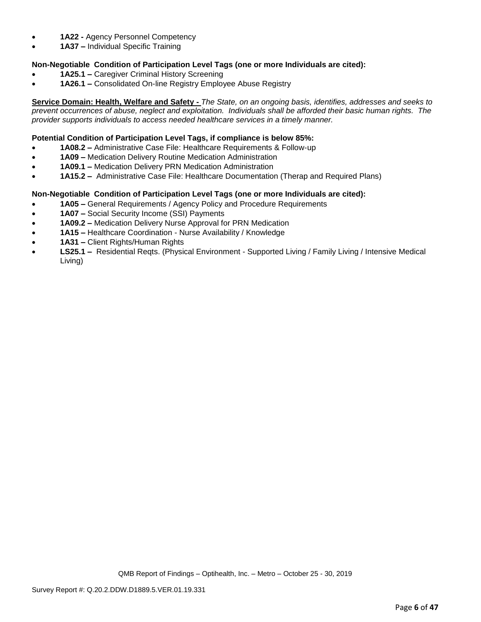- **1A22 -** Agency Personnel Competency
- **1A37 –** Individual Specific Training

# **Non-Negotiable Condition of Participation Level Tags (one or more Individuals are cited):**

- **1A25.1 –** Caregiver Criminal History Screening
- **1A26.1 –** Consolidated On-line Registry Employee Abuse Registry

**Service Domain: Health, Welfare and Safety -** *The State, on an ongoing basis, identifies, addresses and seeks to prevent occurrences of abuse, neglect and exploitation. Individuals shall be afforded their basic human rights. The provider supports individuals to access needed healthcare services in a timely manner.*

# **Potential Condition of Participation Level Tags, if compliance is below 85%:**

- **1A08.2 –** Administrative Case File: Healthcare Requirements & Follow-up
- **1A09 –** Medication Delivery Routine Medication Administration
- **1A09.1 –** Medication Delivery PRN Medication Administration
- **1A15.2 –** Administrative Case File: Healthcare Documentation (Therap and Required Plans)

# **Non-Negotiable Condition of Participation Level Tags (one or more Individuals are cited):**

- **1A05 –** General Requirements / Agency Policy and Procedure Requirements
- **1A07 –** Social Security Income (SSI) Payments
- **1A09.2 –** Medication Delivery Nurse Approval for PRN Medication
- **1A15 –** Healthcare Coordination Nurse Availability / Knowledge
- **1A31 –** Client Rights/Human Rights
- **LS25.1 –** Residential Reqts. (Physical Environment Supported Living / Family Living / Intensive Medical Living)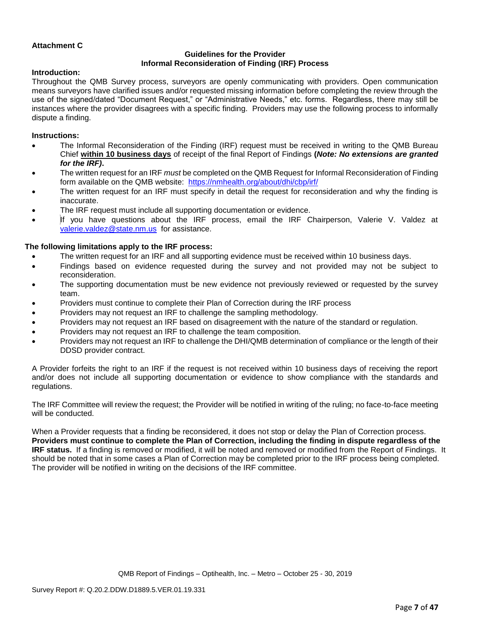#### **Attachment C**

# **Guidelines for the Provider Informal Reconsideration of Finding (IRF) Process**

#### **Introduction:**

Throughout the QMB Survey process, surveyors are openly communicating with providers. Open communication means surveyors have clarified issues and/or requested missing information before completing the review through the use of the signed/dated "Document Request," or "Administrative Needs," etc. forms. Regardless, there may still be instances where the provider disagrees with a specific finding. Providers may use the following process to informally dispute a finding.

#### **Instructions:**

- The Informal Reconsideration of the Finding (IRF) request must be received in writing to the QMB Bureau Chief **within 10 business days** of receipt of the final Report of Findings **(***Note: No extensions are granted for the IRF)***.**
- The written request for an IRF *must* be completed on the QMB Request for Informal Reconsideration of Finding form available on the QMB website: <https://nmhealth.org/about/dhi/cbp/irf/>
- The written request for an IRF must specify in detail the request for reconsideration and why the finding is inaccurate.
- The IRF request must include all supporting documentation or evidence.
- If you have questions about the IRF process, email the IRF Chairperson, Valerie V. Valdez at [valerie.valdez@state.nm.us](mailto:valerie.valdez@state.nm.us) for assistance.

#### **The following limitations apply to the IRF process:**

- The written request for an IRF and all supporting evidence must be received within 10 business days.
- Findings based on evidence requested during the survey and not provided may not be subject to reconsideration.
- The supporting documentation must be new evidence not previously reviewed or requested by the survey team.
- Providers must continue to complete their Plan of Correction during the IRF process
- Providers may not request an IRF to challenge the sampling methodology.
- Providers may not request an IRF based on disagreement with the nature of the standard or regulation.
- Providers may not request an IRF to challenge the team composition.
- Providers may not request an IRF to challenge the DHI/QMB determination of compliance or the length of their DDSD provider contract.

A Provider forfeits the right to an IRF if the request is not received within 10 business days of receiving the report and/or does not include all supporting documentation or evidence to show compliance with the standards and regulations.

The IRF Committee will review the request; the Provider will be notified in writing of the ruling; no face-to-face meeting will be conducted.

When a Provider requests that a finding be reconsidered, it does not stop or delay the Plan of Correction process. **Providers must continue to complete the Plan of Correction, including the finding in dispute regardless of the IRF status.** If a finding is removed or modified, it will be noted and removed or modified from the Report of Findings. It should be noted that in some cases a Plan of Correction may be completed prior to the IRF process being completed. The provider will be notified in writing on the decisions of the IRF committee.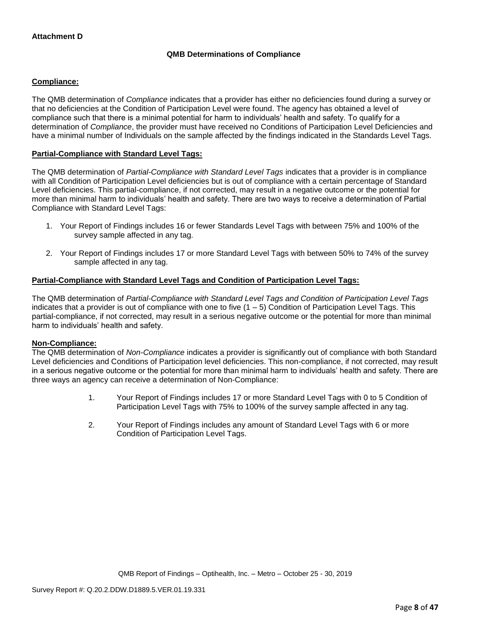# **QMB Determinations of Compliance**

#### **Compliance:**

The QMB determination of *Compliance* indicates that a provider has either no deficiencies found during a survey or that no deficiencies at the Condition of Participation Level were found. The agency has obtained a level of compliance such that there is a minimal potential for harm to individuals' health and safety. To qualify for a determination of *Compliance*, the provider must have received no Conditions of Participation Level Deficiencies and have a minimal number of Individuals on the sample affected by the findings indicated in the Standards Level Tags.

#### **Partial-Compliance with Standard Level Tags:**

The QMB determination of *Partial-Compliance with Standard Level Tags* indicates that a provider is in compliance with all Condition of Participation Level deficiencies but is out of compliance with a certain percentage of Standard Level deficiencies. This partial-compliance, if not corrected, may result in a negative outcome or the potential for more than minimal harm to individuals' health and safety. There are two ways to receive a determination of Partial Compliance with Standard Level Tags:

- 1. Your Report of Findings includes 16 or fewer Standards Level Tags with between 75% and 100% of the survey sample affected in any tag.
- 2. Your Report of Findings includes 17 or more Standard Level Tags with between 50% to 74% of the survey sample affected in any tag.

# **Partial-Compliance with Standard Level Tags and Condition of Participation Level Tags:**

The QMB determination of *Partial-Compliance with Standard Level Tags and Condition of Participation Level Tags*  indicates that a provider is out of compliance with one to five  $(1 - 5)$  Condition of Participation Level Tags. This partial-compliance, if not corrected, may result in a serious negative outcome or the potential for more than minimal harm to individuals' health and safety.

#### **Non-Compliance:**

The QMB determination of *Non-Compliance* indicates a provider is significantly out of compliance with both Standard Level deficiencies and Conditions of Participation level deficiencies. This non-compliance, if not corrected, may result in a serious negative outcome or the potential for more than minimal harm to individuals' health and safety. There are three ways an agency can receive a determination of Non-Compliance:

- 1. Your Report of Findings includes 17 or more Standard Level Tags with 0 to 5 Condition of Participation Level Tags with 75% to 100% of the survey sample affected in any tag.
- 2. Your Report of Findings includes any amount of Standard Level Tags with 6 or more Condition of Participation Level Tags.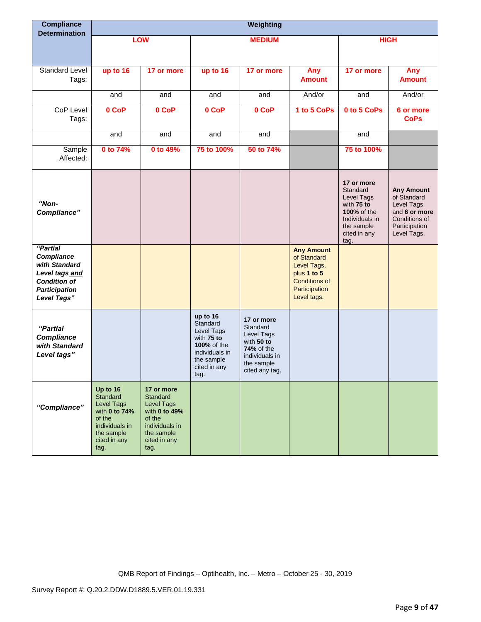| <b>Compliance</b><br><b>Determination</b>                                                                               |                                                                                                                              |                                                                                                                         |                                                                                                                                | Weighting                                                                                                                 |                                                                                                                        |                                                                                                                           |                                                                                                                  |
|-------------------------------------------------------------------------------------------------------------------------|------------------------------------------------------------------------------------------------------------------------------|-------------------------------------------------------------------------------------------------------------------------|--------------------------------------------------------------------------------------------------------------------------------|---------------------------------------------------------------------------------------------------------------------------|------------------------------------------------------------------------------------------------------------------------|---------------------------------------------------------------------------------------------------------------------------|------------------------------------------------------------------------------------------------------------------|
|                                                                                                                         |                                                                                                                              | LOW                                                                                                                     |                                                                                                                                | <b>MEDIUM</b>                                                                                                             |                                                                                                                        |                                                                                                                           | <b>HIGH</b>                                                                                                      |
| Standard Level<br>Tags:                                                                                                 | up to 16                                                                                                                     | 17 or more                                                                                                              | up to 16                                                                                                                       | 17 or more                                                                                                                | Any<br><b>Amount</b>                                                                                                   | 17 or more                                                                                                                | Any<br><b>Amount</b>                                                                                             |
|                                                                                                                         | and                                                                                                                          | and                                                                                                                     | and                                                                                                                            | and                                                                                                                       | And/or                                                                                                                 | and                                                                                                                       | And/or                                                                                                           |
| <b>CoP Level</b><br>Tags:                                                                                               | 0 CoP                                                                                                                        | 0 CoP                                                                                                                   | 0 CoP                                                                                                                          | 0 CoP                                                                                                                     | 1 to 5 CoPs                                                                                                            | 0 to 5 CoPs                                                                                                               | 6 or more<br><b>CoPs</b>                                                                                         |
|                                                                                                                         | and                                                                                                                          | and                                                                                                                     | and                                                                                                                            | and                                                                                                                       |                                                                                                                        | and                                                                                                                       |                                                                                                                  |
| Sample<br>Affected:                                                                                                     | 0 to 74%                                                                                                                     | 0 to 49%                                                                                                                | 75 to 100%                                                                                                                     | 50 to 74%                                                                                                                 |                                                                                                                        | 75 to 100%                                                                                                                |                                                                                                                  |
| "Non-<br>Compliance"                                                                                                    |                                                                                                                              |                                                                                                                         |                                                                                                                                |                                                                                                                           |                                                                                                                        | 17 or more<br>Standard<br>Level Tags<br>with 75 to<br>100% of the<br>Individuals in<br>the sample<br>cited in any<br>tag. | <b>Any Amount</b><br>of Standard<br>Level Tags<br>and 6 or more<br>Conditions of<br>Participation<br>Level Tags. |
| "Partial<br>Compliance<br>with Standard<br>Level tags and<br><b>Condition of</b><br><b>Participation</b><br>Level Tags" |                                                                                                                              |                                                                                                                         |                                                                                                                                |                                                                                                                           | <b>Any Amount</b><br>of Standard<br>Level Tags,<br>plus 1 to 5<br><b>Conditions of</b><br>Participation<br>Level tags. |                                                                                                                           |                                                                                                                  |
| "Partial<br><b>Compliance</b><br>with Standard<br>Level tags"                                                           |                                                                                                                              |                                                                                                                         | up to 16<br>Standard<br>Level Tags<br>with 75 to<br><b>100% of the</b><br>individuals in<br>the sample<br>cited in any<br>tag. | 17 or more<br>Standard<br>Level Tags<br>with 50 to<br><b>74%</b> of the<br>individuals in<br>the sample<br>cited any tag. |                                                                                                                        |                                                                                                                           |                                                                                                                  |
| "Compliance"                                                                                                            | Up to 16<br>Standard<br><b>Level Tags</b><br>with 0 to 74%<br>of the<br>individuals in<br>the sample<br>cited in any<br>tag. | 17 or more<br>Standard<br>Level Tags<br>with 0 to 49%<br>of the<br>individuals in<br>the sample<br>cited in any<br>tag. |                                                                                                                                |                                                                                                                           |                                                                                                                        |                                                                                                                           |                                                                                                                  |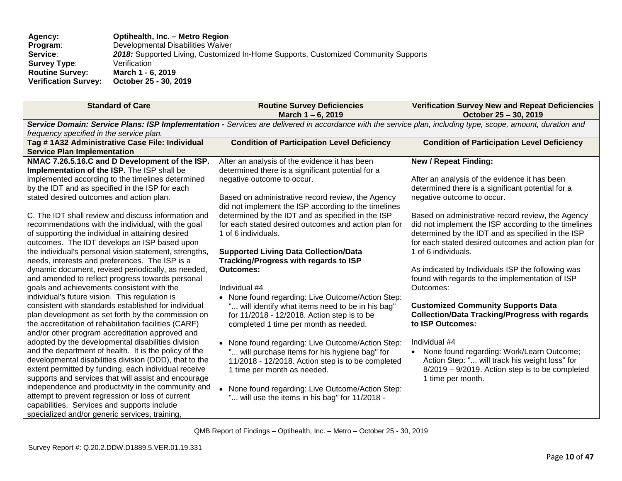| <b>Standard of Care</b>                                                                                                                                     | <b>Routine Survey Deficiencies</b><br>March 1-6, 2019 | <b>Verification Survey New and Repeat Deficiencies</b><br>October 25 - 30, 2019                   |  |  |
|-------------------------------------------------------------------------------------------------------------------------------------------------------------|-------------------------------------------------------|---------------------------------------------------------------------------------------------------|--|--|
| Service Domain: Service Plans: ISP Implementation - Services are delivered in accordance with the service plan, including type, scope, amount, duration and |                                                       |                                                                                                   |  |  |
| frequency specified in the service plan.                                                                                                                    |                                                       |                                                                                                   |  |  |
| Tag #1A32 Administrative Case File: Individual                                                                                                              | <b>Condition of Participation Level Deficiency</b>    | <b>Condition of Participation Level Deficiency</b>                                                |  |  |
| <b>Service Plan Implementation</b>                                                                                                                          |                                                       |                                                                                                   |  |  |
| NMAC 7.26.5.16.C and D Development of the ISP.                                                                                                              | After an analysis of the evidence it has been         | <b>New / Repeat Finding:</b>                                                                      |  |  |
| Implementation of the ISP. The ISP shall be                                                                                                                 | determined there is a significant potential for a     | After an analysis of the evidence it has been                                                     |  |  |
| implemented according to the timelines determined<br>by the IDT and as specified in the ISP for each                                                        | negative outcome to occur.                            | determined there is a significant potential for a                                                 |  |  |
| stated desired outcomes and action plan.                                                                                                                    | Based on administrative record review, the Agency     | negative outcome to occur.                                                                        |  |  |
|                                                                                                                                                             | did not implement the ISP according to the timelines  |                                                                                                   |  |  |
| C. The IDT shall review and discuss information and                                                                                                         | determined by the IDT and as specified in the ISP     | Based on administrative record review, the Agency                                                 |  |  |
| recommendations with the individual, with the goal                                                                                                          | for each stated desired outcomes and action plan for  | did not implement the ISP according to the timelines                                              |  |  |
| of supporting the individual in attaining desired                                                                                                           | 1 of 6 individuals.                                   | determined by the IDT and as specified in the ISP                                                 |  |  |
| outcomes. The IDT develops an ISP based upon                                                                                                                |                                                       | for each stated desired outcomes and action plan for                                              |  |  |
| the individual's personal vision statement, strengths,                                                                                                      | <b>Supported Living Data Collection/Data</b>          | 1 of 6 individuals.                                                                               |  |  |
| needs, interests and preferences. The ISP is a                                                                                                              | <b>Tracking/Progress with regards to ISP</b>          |                                                                                                   |  |  |
| dynamic document, revised periodically, as needed,                                                                                                          | <b>Outcomes:</b>                                      | As indicated by Individuals ISP the following was                                                 |  |  |
| and amended to reflect progress towards personal                                                                                                            |                                                       | found with regards to the implementation of ISP                                                   |  |  |
| goals and achievements consistent with the                                                                                                                  | Individual #4                                         | Outcomes:                                                                                         |  |  |
| individual's future vision. This regulation is                                                                                                              | • None found regarding: Live Outcome/Action Step:     |                                                                                                   |  |  |
| consistent with standards established for individual                                                                                                        | " will identify what items need to be in his bag"     | <b>Customized Community Supports Data</b>                                                         |  |  |
| plan development as set forth by the commission on                                                                                                          | for 11/2018 - 12/2018. Action step is to be           | <b>Collection/Data Tracking/Progress with regards</b>                                             |  |  |
| the accreditation of rehabilitation facilities (CARF)                                                                                                       | completed 1 time per month as needed.                 | to ISP Outcomes:                                                                                  |  |  |
| and/or other program accreditation approved and                                                                                                             |                                                       |                                                                                                   |  |  |
| adopted by the developmental disabilities division                                                                                                          | • None found regarding: Live Outcome/Action Step:     | Individual #4                                                                                     |  |  |
| and the department of health. It is the policy of the<br>developmental disabilities division (DDD), that to the                                             | " will purchase items for his hygiene bag" for        | None found regarding: Work/Learn Outcome;<br>$\bullet$                                            |  |  |
| extent permitted by funding, each individual receive                                                                                                        | 11/2018 - 12/2018. Action step is to be completed     | Action Step: " will track his weight loss" for<br>8/2019 - 9/2019. Action step is to be completed |  |  |
| supports and services that will assist and encourage                                                                                                        | 1 time per month as needed.                           | 1 time per month.                                                                                 |  |  |
| independence and productivity in the community and                                                                                                          | • None found regarding: Live Outcome/Action Step:     |                                                                                                   |  |  |
| attempt to prevent regression or loss of current                                                                                                            | " will use the items in his bag" for 11/2018 -        |                                                                                                   |  |  |
| capabilities. Services and supports include                                                                                                                 |                                                       |                                                                                                   |  |  |
| specialized and/or generic services, training,                                                                                                              |                                                       |                                                                                                   |  |  |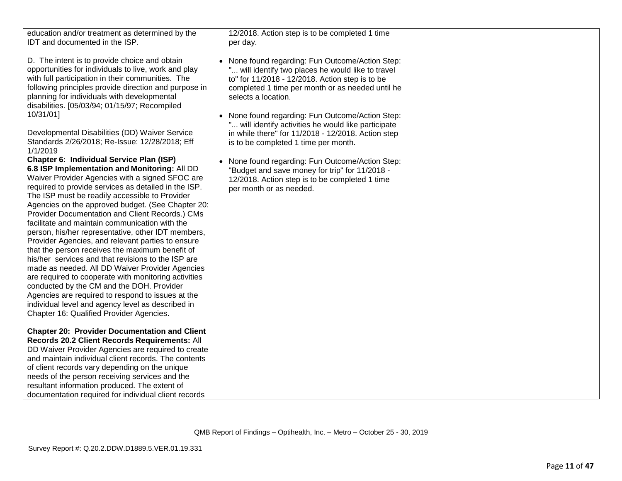| education and/or treatment as determined by the<br>IDT and documented in the ISP.<br>D. The intent is to provide choice and obtain<br>opportunities for individuals to live, work and play<br>with full participation in their communities. The<br>following principles provide direction and purpose in<br>planning for individuals with developmental<br>disabilities. [05/03/94; 01/15/97; Recompiled                                                                                                                                                                                                                                                                                                                                                                                                                                                                                                                                           | 12/2018. Action step is to be completed 1 time<br>per day.<br>• None found regarding: Fun Outcome/Action Step:<br>" will identify two places he would like to travel<br>to" for 11/2018 - 12/2018. Action step is to be<br>completed 1 time per month or as needed until he<br>selects a location. |
|----------------------------------------------------------------------------------------------------------------------------------------------------------------------------------------------------------------------------------------------------------------------------------------------------------------------------------------------------------------------------------------------------------------------------------------------------------------------------------------------------------------------------------------------------------------------------------------------------------------------------------------------------------------------------------------------------------------------------------------------------------------------------------------------------------------------------------------------------------------------------------------------------------------------------------------------------|----------------------------------------------------------------------------------------------------------------------------------------------------------------------------------------------------------------------------------------------------------------------------------------------------|
| 10/31/01]<br>Developmental Disabilities (DD) Waiver Service<br>Standards 2/26/2018; Re-Issue: 12/28/2018; Eff<br>1/1/2019                                                                                                                                                                                                                                                                                                                                                                                                                                                                                                                                                                                                                                                                                                                                                                                                                          | • None found regarding: Fun Outcome/Action Step:<br>" will identify activities he would like participate<br>in while there" for 11/2018 - 12/2018. Action step<br>is to be completed 1 time per month.                                                                                             |
| Chapter 6: Individual Service Plan (ISP)<br>6.8 ISP Implementation and Monitoring: All DD<br>Waiver Provider Agencies with a signed SFOC are<br>required to provide services as detailed in the ISP.<br>The ISP must be readily accessible to Provider<br>Agencies on the approved budget. (See Chapter 20:<br>Provider Documentation and Client Records.) CMs<br>facilitate and maintain communication with the<br>person, his/her representative, other IDT members,<br>Provider Agencies, and relevant parties to ensure<br>that the person receives the maximum benefit of<br>his/her services and that revisions to the ISP are<br>made as needed. All DD Waiver Provider Agencies<br>are required to cooperate with monitoring activities<br>conducted by the CM and the DOH. Provider<br>Agencies are required to respond to issues at the<br>individual level and agency level as described in<br>Chapter 16: Qualified Provider Agencies. | • None found regarding: Fun Outcome/Action Step:<br>"Budget and save money for trip" for 11/2018 -<br>12/2018. Action step is to be completed 1 time<br>per month or as needed.                                                                                                                    |
| <b>Chapter 20: Provider Documentation and Client</b><br>Records 20.2 Client Records Requirements: All<br>DD Waiver Provider Agencies are required to create<br>and maintain individual client records. The contents<br>of client records vary depending on the unique<br>needs of the person receiving services and the<br>resultant information produced. The extent of<br>documentation required for individual client records                                                                                                                                                                                                                                                                                                                                                                                                                                                                                                                   |                                                                                                                                                                                                                                                                                                    |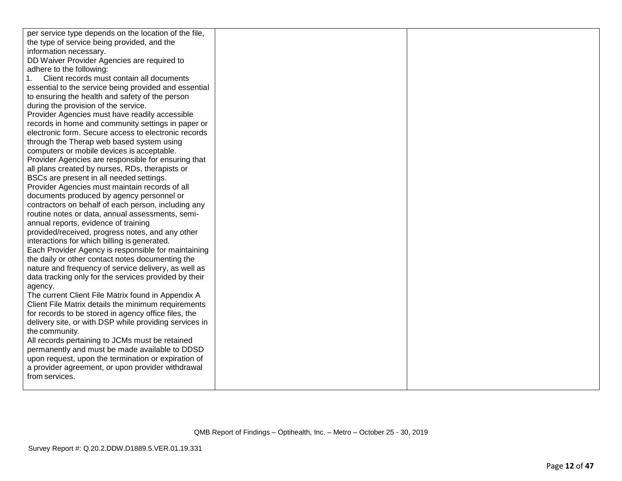| per service type depends on the location of the file,  |  |
|--------------------------------------------------------|--|
| the type of service being provided, and the            |  |
| information necessary.                                 |  |
| DD Waiver Provider Agencies are required to            |  |
| adhere to the following:                               |  |
| 1. Client records must contain all documents           |  |
| essential to the service being provided and essential  |  |
| to ensuring the health and safety of the person        |  |
| during the provision of the service.                   |  |
| Provider Agencies must have readily accessible         |  |
| records in home and community settings in paper or     |  |
| electronic form. Secure access to electronic records   |  |
| through the Therap web based system using              |  |
| computers or mobile devices is acceptable.             |  |
| Provider Agencies are responsible for ensuring that    |  |
| all plans created by nurses, RDs, therapists or        |  |
| BSCs are present in all needed settings.               |  |
| Provider Agencies must maintain records of all         |  |
| documents produced by agency personnel or              |  |
| contractors on behalf of each person, including any    |  |
| routine notes or data, annual assessments, semi-       |  |
| annual reports, evidence of training                   |  |
| provided/received, progress notes, and any other       |  |
| interactions for which billing is generated.           |  |
| Each Provider Agency is responsible for maintaining    |  |
| the daily or other contact notes documenting the       |  |
| nature and frequency of service delivery, as well as   |  |
| data tracking only for the services provided by their  |  |
| agency.                                                |  |
| The current Client File Matrix found in Appendix A     |  |
| Client File Matrix details the minimum requirements    |  |
| for records to be stored in agency office files, the   |  |
| delivery site, or with DSP while providing services in |  |
| the community.                                         |  |
| All records pertaining to JCMs must be retained        |  |
| permanently and must be made available to DDSD         |  |
| upon request, upon the termination or expiration of    |  |
| a provider agreement, or upon provider withdrawal      |  |
| from services.                                         |  |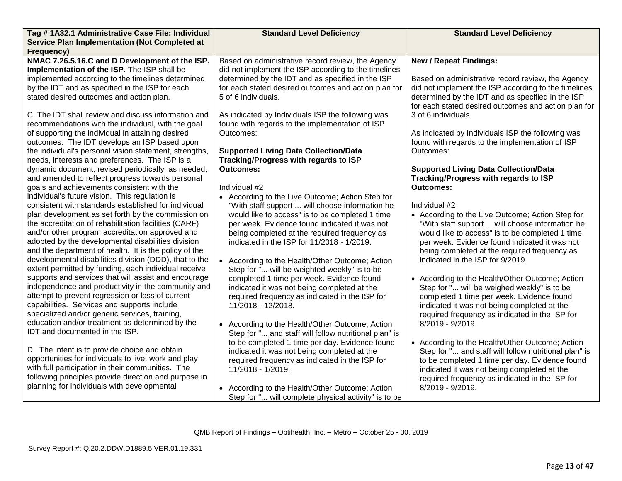| Tag # 1A32.1 Administrative Case File: Individual                                                          | <b>Standard Level Deficiency</b>                                     | <b>Standard Level Deficiency</b>                                                         |
|------------------------------------------------------------------------------------------------------------|----------------------------------------------------------------------|------------------------------------------------------------------------------------------|
| <b>Service Plan Implementation (Not Completed at</b>                                                       |                                                                      |                                                                                          |
| Frequency)<br>NMAC 7.26.5.16.C and D Development of the ISP.                                               | Based on administrative record review, the Agency                    | <b>New / Repeat Findings:</b>                                                            |
| Implementation of the ISP. The ISP shall be                                                                | did not implement the ISP according to the timelines                 |                                                                                          |
| implemented according to the timelines determined                                                          | determined by the IDT and as specified in the ISP                    | Based on administrative record review, the Agency                                        |
| by the IDT and as specified in the ISP for each                                                            | for each stated desired outcomes and action plan for                 | did not implement the ISP according to the timelines                                     |
| stated desired outcomes and action plan.                                                                   | 5 of 6 individuals.                                                  | determined by the IDT and as specified in the ISP                                        |
|                                                                                                            |                                                                      | for each stated desired outcomes and action plan for                                     |
| C. The IDT shall review and discuss information and                                                        | As indicated by Individuals ISP the following was                    | 3 of 6 individuals.                                                                      |
| recommendations with the individual, with the goal                                                         | found with regards to the implementation of ISP                      |                                                                                          |
| of supporting the individual in attaining desired                                                          | Outcomes:                                                            | As indicated by Individuals ISP the following was                                        |
| outcomes. The IDT develops an ISP based upon                                                               |                                                                      | found with regards to the implementation of ISP                                          |
| the individual's personal vision statement, strengths,                                                     | <b>Supported Living Data Collection/Data</b>                         | Outcomes:                                                                                |
| needs, interests and preferences. The ISP is a                                                             | Tracking/Progress with regards to ISP                                |                                                                                          |
| dynamic document, revised periodically, as needed,<br>and amended to reflect progress towards personal     | <b>Outcomes:</b>                                                     | <b>Supported Living Data Collection/Data</b><br>Tracking/Progress with regards to ISP    |
| goals and achievements consistent with the                                                                 | Individual #2                                                        | <b>Outcomes:</b>                                                                         |
| individual's future vision. This regulation is                                                             | • According to the Live Outcome; Action Step for                     |                                                                                          |
| consistent with standards established for individual                                                       | "With staff support  will choose information he                      | Individual #2                                                                            |
| plan development as set forth by the commission on                                                         | would like to access" is to be completed 1 time                      | • According to the Live Outcome; Action Step for                                         |
| the accreditation of rehabilitation facilities (CARF)                                                      | per week. Evidence found indicated it was not                        | "With staff support  will choose information he                                          |
| and/or other program accreditation approved and                                                            | being completed at the required frequency as                         | would like to access" is to be completed 1 time                                          |
| adopted by the developmental disabilities division                                                         | indicated in the ISP for 11/2018 - 1/2019.                           | per week. Evidence found indicated it was not                                            |
| and the department of health. It is the policy of the                                                      |                                                                      | being completed at the required frequency as                                             |
| developmental disabilities division (DDD), that to the                                                     | • According to the Health/Other Outcome; Action                      | indicated in the ISP for 9/2019.                                                         |
| extent permitted by funding, each individual receive                                                       | Step for " will be weighted weekly" is to be                         |                                                                                          |
| supports and services that will assist and encourage<br>independence and productivity in the community and | completed 1 time per week. Evidence found                            | • According to the Health/Other Outcome; Action                                          |
| attempt to prevent regression or loss of current                                                           | indicated it was not being completed at the                          | Step for " will be weighed weekly" is to be                                              |
| capabilities. Services and supports include                                                                | required frequency as indicated in the ISP for<br>11/2018 - 12/2018. | completed 1 time per week. Evidence found<br>indicated it was not being completed at the |
| specialized and/or generic services, training,                                                             |                                                                      | required frequency as indicated in the ISP for                                           |
| education and/or treatment as determined by the                                                            | • According to the Health/Other Outcome; Action                      | 8/2019 - 9/2019.                                                                         |
| IDT and documented in the ISP.                                                                             | Step for " and staff will follow nutritional plan" is                |                                                                                          |
|                                                                                                            | to be completed 1 time per day. Evidence found                       | • According to the Health/Other Outcome; Action                                          |
| D. The intent is to provide choice and obtain                                                              | indicated it was not being completed at the                          | Step for " and staff will follow nutritional plan" is                                    |
| opportunities for individuals to live, work and play                                                       | required frequency as indicated in the ISP for                       | to be completed 1 time per day. Evidence found                                           |
| with full participation in their communities. The                                                          | 11/2018 - 1/2019.                                                    | indicated it was not being completed at the                                              |
| following principles provide direction and purpose in                                                      |                                                                      | required frequency as indicated in the ISP for                                           |
| planning for individuals with developmental                                                                | • According to the Health/Other Outcome; Action                      | 8/2019 - 9/2019.                                                                         |
|                                                                                                            | Step for " will complete physical activity" is to be                 |                                                                                          |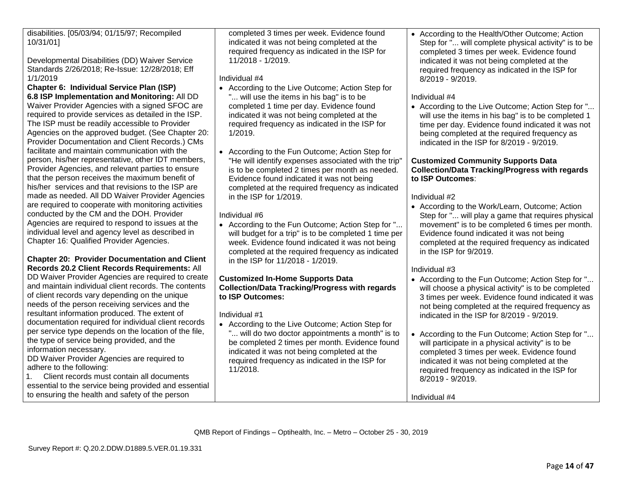disabilities. [05/03/94; 01/15/97; Recompiled 10/31/01]

Developmental Disabilities (DD) Waiver Service Standards 2/26/2018; Re-Issue: 12/28/2018; Eff 1/1/2019

**Chapter 6: Individual Service Plan (ISP) 6.8 ISP Implementation and Monitoring:** All DD Waiver Provider Agencies with a signed SFOC are required to provide services as detailed in the ISP. The ISP must be readily accessible to Provider Agencies on the approved budget. (See Chapter 20: Provider Documentation and Client Records.) CMs facilitate and maintain communication with the person, his/her representative, other IDT members, Provider Agencies, and relevant parties to ensure that the person receives the maximum benefit of his/her services and that revisions to the ISP are made as needed. All DD Waiver Provider Agencies are required to cooperate with monitoring activities conducted by the CM and the DOH. Provider Agencies are required to respond to issues at the individual level and agency level as described in Chapter 16: Qualified Provider Agencies.

# **Chapter 20: Provider Documentation and Client Records 20.2 Client Records Requirements:** All

DD Waiver Provider Agencies are required to create and maintain individual client records. The contents of client records vary depending on the unique needs of the person receiving services and the resultant information produced. The extent of documentation required for individual client records per service type depends on the location of the file, the type of service being provided, and the information necessary.

DD Waiver Provider Agencies are required to adhere to the following:

1. Client records must contain all documents essential to the service being provided and essential to ensuring the health and safety of the person

completed 3 times per week. Evidence found indicated it was not being completed at the required frequency as indicated in the ISP for 11/2018 - 1/2019.

Individual #4

- According to the Live Outcome; Action Step for "... will use the items in his bag" is to be completed 1 time per day. Evidence found indicated it was not being completed at the required frequency as indicated in the ISP for 1/2019.
- According to the Fun Outcome; Action Step for "He will identify expenses associated with the trip" is to be completed 2 times per month as needed. Evidence found indicated it was not being completed at the required frequency as indicated in the ISP for 1/2019.

Individual #6

• According to the Fun Outcome; Action Step for "... will budget for a trip" is to be completed 1 time per week. Evidence found indicated it was not being completed at the required frequency as indicated in the ISP for 11/2018 - 1/2019.

**Customized In-Home Supports Data Collection/Data Tracking/Progress with regards to ISP Outcomes:**

Individual #1

• According to the Live Outcome; Action Step for "... will do two doctor appointments a month" is to be completed 2 times per month. Evidence found indicated it was not being completed at the required frequency as indicated in the ISP for 11/2018.

• According to the Health/Other Outcome; Action Step for "... will complete physical activity" is to be completed 3 times per week. Evidence found indicated it was not being completed at the required frequency as indicated in the ISP for 8/2019 - 9/2019.

# Individual #4

• According to the Live Outcome; Action Step for "... will use the items in his bag" is to be completed 1 time per day. Evidence found indicated it was not being completed at the required frequency as indicated in the ISP for 8/2019 - 9/2019.

# **Customized Community Supports Data Collection/Data Tracking/Progress with regards to ISP Outcomes**:

Individual #2

• According to the Work/Learn, Outcome: Action Step for "... will play a game that requires physical movement" is to be completed 6 times per month. Evidence found indicated it was not being completed at the required frequency as indicated in the ISP for 9/2019.

# Individual #3

- According to the Fun Outcome; Action Step for "... will choose a physical activity" is to be completed 3 times per week. Evidence found indicated it was not being completed at the required frequency as indicated in the ISP for 8/2019 - 9/2019.
- According to the Fun Outcome; Action Step for "... will participate in a physical activity" is to be completed 3 times per week. Evidence found indicated it was not being completed at the required frequency as indicated in the ISP for 8/2019 - 9/2019.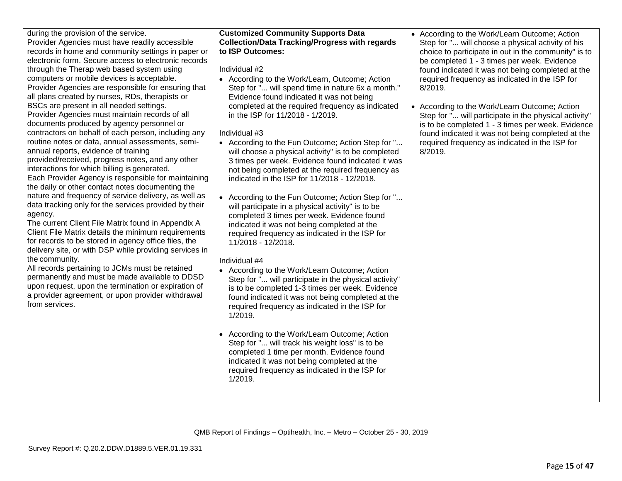| • According to the Work/Learn Outcome; Action<br>Step for " will track his weight loss" is to be<br>completed 1 time per month. Evidence found<br>indicated it was not being completed at the<br>required frequency as indicated in the ISP for<br>1/2019. |
|------------------------------------------------------------------------------------------------------------------------------------------------------------------------------------------------------------------------------------------------------------|
| QMB Report of Findings – Optihealth, Inc. – Metro – October 25 - 30, 2019                                                                                                                                                                                  |

during the provision of the service.

Provider Agencies must have readily accessible

records in home and community settings in paper or electronic form. Secure access to electronic records through the Therap web based system using computers or mobile devices is acceptable. Provider Agencies are responsible for ensuring that all plans created by nurses, RDs, therapists or BSCs are present in all needed settings. 4. Provider Agencies must maintain records of all documents produced by agency personnel or contractors on behalf of each person, including any routine notes or data, annual assessments, semiannual reports, evidence of training provided/received, progress notes, and any other interactions for which billing is generated. Each Provider Agency is responsible for maintaining the daily or other contact notes documenting the nature and frequency of service delivery, as well as data tracking only for the services provided by their

agency. The current Client File Matrix found in Appendix A Client File Matrix details the minimum requirements for records to be stored in agency office files, the delivery site, or with DSP while providing services in the community.

All records pertaining to JCMs must be retained permanently and must be made available to DDSD upon request, upon the termination or expiration of a provider agreement, or upon provider withdrawal from services.

# **Customized Community Supports Data Collection/Data Tracking/Progress with regards to ISP Outcomes:**

Individual #2

• According to the Work/Learn, Outcome; Action Step for "... will spend time in nature 6x a month." Evidence found indicated it was not being completed at the required frequency as indicated in the ISP for 11/2018 - 1/2019.

Individual #3

- According to the Fun Outcome; Action Step for "... will choose a physical activity" is to be completed 3 times per week. Evidence found indicated it was not being completed at the required frequency as indicated in the ISP for 11/2018 - 12/2018.
- According to the Fun Outcome; Action Step for "... will participate in a physical activity" is to be completed 3 times per week. Evidence found indicated it was not being completed at the required frequency as indicated in the ISP for 11/2018 - 12/2018.

# Individual #4

• According to the Work/Learn Outcome; Action Step for "... will participate in the physical activity" is to be completed 1-3 times per week. Evidence found indicated it was not being completed at the required frequency as indicated in the ISP for

- According to the Work/Learn Outcome; Action Step for "... will choose a physical activity of his choice to participate in out in the community" is to be completed 1 - 3 times per week. Evidence found indicated it was not being completed at the required frequency as indicated in the ISP for 8/2019.
- According to the Work/Learn Outcome; Action Step for "... will participate in the physical activity" is to be completed 1 - 3 times per week. Evidence found indicated it was not being completed at the required frequency as indicated in the ISP for 8/2019.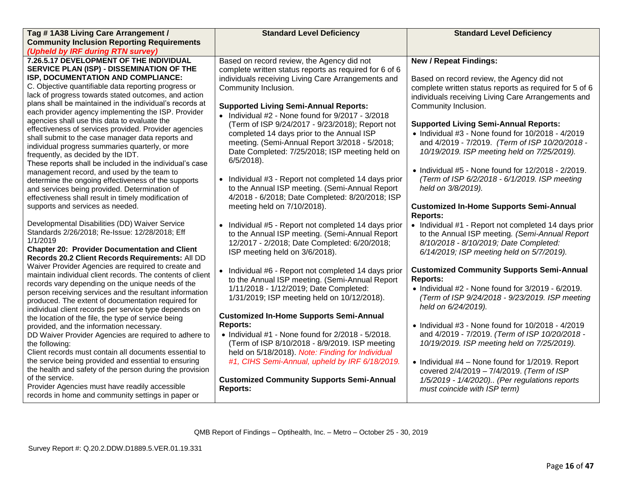| Tag #1A38 Living Care Arrangement /                                                                                                                                                                                                                                                                                                                                                                                                                                                                                                                                                                                                                                                                                                                                                                                                                                                             | <b>Standard Level Deficiency</b>                                                                                                                                                                                                                                                                                                                                                                                                                                                                                                                                                                                                                                                | <b>Standard Level Deficiency</b>                                                                                                                                                                                                                                                                                                                                                                                                                                                                                                                                    |
|-------------------------------------------------------------------------------------------------------------------------------------------------------------------------------------------------------------------------------------------------------------------------------------------------------------------------------------------------------------------------------------------------------------------------------------------------------------------------------------------------------------------------------------------------------------------------------------------------------------------------------------------------------------------------------------------------------------------------------------------------------------------------------------------------------------------------------------------------------------------------------------------------|---------------------------------------------------------------------------------------------------------------------------------------------------------------------------------------------------------------------------------------------------------------------------------------------------------------------------------------------------------------------------------------------------------------------------------------------------------------------------------------------------------------------------------------------------------------------------------------------------------------------------------------------------------------------------------|---------------------------------------------------------------------------------------------------------------------------------------------------------------------------------------------------------------------------------------------------------------------------------------------------------------------------------------------------------------------------------------------------------------------------------------------------------------------------------------------------------------------------------------------------------------------|
| <b>Community Inclusion Reporting Requirements</b>                                                                                                                                                                                                                                                                                                                                                                                                                                                                                                                                                                                                                                                                                                                                                                                                                                               |                                                                                                                                                                                                                                                                                                                                                                                                                                                                                                                                                                                                                                                                                 |                                                                                                                                                                                                                                                                                                                                                                                                                                                                                                                                                                     |
| (Upheld by IRF during RTN survey)                                                                                                                                                                                                                                                                                                                                                                                                                                                                                                                                                                                                                                                                                                                                                                                                                                                               |                                                                                                                                                                                                                                                                                                                                                                                                                                                                                                                                                                                                                                                                                 |                                                                                                                                                                                                                                                                                                                                                                                                                                                                                                                                                                     |
| 7.26.5.17 DEVELOPMENT OF THE INDIVIDUAL<br>SERVICE PLAN (ISP) - DISSEMINATION OF THE<br>ISP, DOCUMENTATION AND COMPLIANCE:<br>C. Objective quantifiable data reporting progress or<br>lack of progress towards stated outcomes, and action<br>plans shall be maintained in the individual's records at<br>each provider agency implementing the ISP. Provider<br>agencies shall use this data to evaluate the<br>effectiveness of services provided. Provider agencies<br>shall submit to the case manager data reports and<br>individual progress summaries quarterly, or more<br>frequently, as decided by the IDT.<br>These reports shall be included in the individual's case<br>management record, and used by the team to<br>determine the ongoing effectiveness of the supports<br>and services being provided. Determination of<br>effectiveness shall result in timely modification of | Based on record review, the Agency did not<br>complete written status reports as required for 6 of 6<br>individuals receiving Living Care Arrangements and<br>Community Inclusion.<br><b>Supported Living Semi-Annual Reports:</b><br>$\bullet$ Individual #2 - None found for 9/2017 - 3/2018<br>(Term of ISP 9/24/2017 - 9/23/2018); Report not<br>completed 14 days prior to the Annual ISP<br>meeting. (Semi-Annual Report 3/2018 - 5/2018;<br>Date Completed: 7/25/2018; ISP meeting held on<br>$6/5/2018$ ).<br>• Individual #3 - Report not completed 14 days prior<br>to the Annual ISP meeting. (Semi-Annual Report<br>4/2018 - 6/2018; Date Completed: 8/20/2018; ISP | <b>New / Repeat Findings:</b><br>Based on record review, the Agency did not<br>complete written status reports as required for 5 of 6<br>individuals receiving Living Care Arrangements and<br>Community Inclusion.<br><b>Supported Living Semi-Annual Reports:</b><br>$\bullet$ Individual #3 - None found for 10/2018 - 4/2019<br>and 4/2019 - 7/2019. (Term of ISP 10/20/2018 -<br>10/19/2019. ISP meeting held on 7/25/2019).<br>• Individual $#5$ - None found for $12/2018 - 2/2019$ .<br>(Term of ISP 6/2/2018 - 6/1/2019. ISP meeting<br>held on 3/8/2019). |
| supports and services as needed.<br>Developmental Disabilities (DD) Waiver Service<br>Standards 2/26/2018; Re-Issue: 12/28/2018; Eff<br>1/1/2019<br><b>Chapter 20: Provider Documentation and Client</b><br>Records 20.2 Client Records Requirements: All DD<br>Waiver Provider Agencies are required to create and                                                                                                                                                                                                                                                                                                                                                                                                                                                                                                                                                                             | meeting held on 7/10/2018).<br>Individual #5 - Report not completed 14 days prior<br>to the Annual ISP meeting. (Semi-Annual Report<br>12/2017 - 2/2018; Date Completed: 6/20/2018;<br>ISP meeting held on 3/6/2018).                                                                                                                                                                                                                                                                                                                                                                                                                                                           | <b>Customized In-Home Supports Semi-Annual</b><br><b>Reports:</b><br>• Individual #1 - Report not completed 14 days prior<br>to the Annual ISP meeting. (Semi-Annual Report<br>8/10/2018 - 8/10/2019; Date Completed:<br>6/14/2019; ISP meeting held on 5/7/2019).                                                                                                                                                                                                                                                                                                  |
| maintain individual client records. The contents of client<br>records vary depending on the unique needs of the<br>person receiving services and the resultant information<br>produced. The extent of documentation required for<br>individual client records per service type depends on<br>the location of the file, the type of service being                                                                                                                                                                                                                                                                                                                                                                                                                                                                                                                                                | • Individual #6 - Report not completed 14 days prior<br>to the Annual ISP meeting. (Semi-Annual Report<br>1/11/2018 - 1/12/2019; Date Completed:<br>1/31/2019; ISP meeting held on 10/12/2018).<br><b>Customized In-Home Supports Semi-Annual</b>                                                                                                                                                                                                                                                                                                                                                                                                                               | <b>Customized Community Supports Semi-Annual</b><br><b>Reports:</b><br>$\bullet$ Individual #2 - None found for 3/2019 - 6/2019.<br>(Term of ISP 9/24/2018 - 9/23/2019. ISP meeting<br>held on 6/24/2019).                                                                                                                                                                                                                                                                                                                                                          |
| provided, and the information necessary.<br>DD Waiver Provider Agencies are required to adhere to<br>the following:<br>Client records must contain all documents essential to<br>the service being provided and essential to ensuring<br>the health and safety of the person during the provision<br>of the service.<br>Provider Agencies must have readily accessible<br>records in home and community settings in paper or                                                                                                                                                                                                                                                                                                                                                                                                                                                                    | <b>Reports:</b><br>$\bullet$ Individual #1 - None found for 2/2018 - 5/2018.<br>(Term of ISP 8/10/2018 - 8/9/2019. ISP meeting<br>held on 5/18/2018). Note: Finding for Individual<br>#1, CIHS Semi-Annual, upheld by IRF 6/18/2019.<br><b>Customized Community Supports Semi-Annual</b><br><b>Reports:</b>                                                                                                                                                                                                                                                                                                                                                                     | $\bullet$ Individual #3 - None found for 10/2018 - 4/2019<br>and 4/2019 - 7/2019. (Term of ISP 10/20/2018 -<br>10/19/2019. ISP meeting held on 7/25/2019).<br>• Individual #4 - None found for 1/2019. Report<br>covered 2/4/2019 - 7/4/2019. (Term of ISP<br>1/5/2019 - 1/4/2020) (Per regulations reports<br>must coincide with ISP term)                                                                                                                                                                                                                         |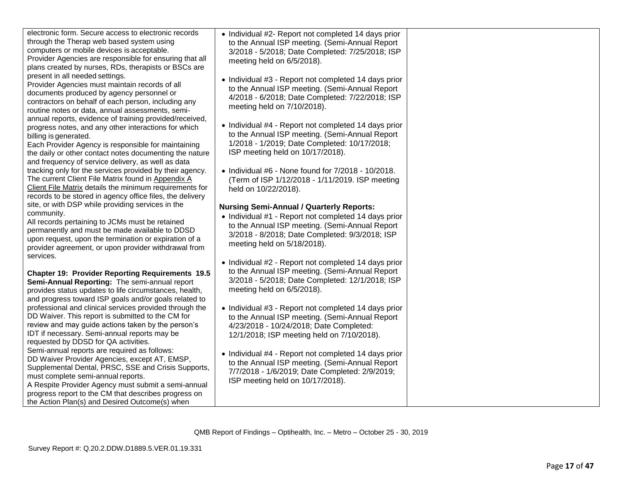| electronic form. Secure access to electronic records<br>through the Therap web based system using<br>computers or mobile devices is acceptable.<br>Provider Agencies are responsible for ensuring that all<br>plans created by nurses, RDs, therapists or BSCs are                                               | • Individual #2- Report not completed 14 days prior<br>to the Annual ISP meeting. (Semi-Annual Report<br>3/2018 - 5/2018; Date Completed: 7/25/2018; ISP<br>meeting held on 6/5/2018).                                                     |
|------------------------------------------------------------------------------------------------------------------------------------------------------------------------------------------------------------------------------------------------------------------------------------------------------------------|--------------------------------------------------------------------------------------------------------------------------------------------------------------------------------------------------------------------------------------------|
| present in all needed settings.<br>Provider Agencies must maintain records of all<br>documents produced by agency personnel or<br>contractors on behalf of each person, including any<br>routine notes or data, annual assessments, semi-                                                                        | • Individual #3 - Report not completed 14 days prior<br>to the Annual ISP meeting. (Semi-Annual Report<br>4/2018 - 6/2018; Date Completed: 7/22/2018; ISP<br>meeting held on 7/10/2018).                                                   |
| annual reports, evidence of training provided/received,<br>progress notes, and any other interactions for which<br>billing is generated.<br>Each Provider Agency is responsible for maintaining<br>the daily or other contact notes documenting the nature<br>and frequency of service delivery, as well as data | • Individual #4 - Report not completed 14 days prior<br>to the Annual ISP meeting. (Semi-Annual Report<br>1/2018 - 1/2019; Date Completed: 10/17/2018;<br>ISP meeting held on 10/17/2018).                                                 |
| tracking only for the services provided by their agency.<br>The current Client File Matrix found in Appendix A<br>Client File Matrix details the minimum requirements for<br>records to be stored in agency office files, the delivery                                                                           | • Individual #6 - None found for $7/2018$ - 10/2018.<br>(Term of ISP 1/12/2018 - 1/11/2019. ISP meeting<br>held on 10/22/2018).                                                                                                            |
| site, or with DSP while providing services in the<br>community.<br>All records pertaining to JCMs must be retained<br>permanently and must be made available to DDSD<br>upon request, upon the termination or expiration of a<br>provider agreement, or upon provider withdrawal from                            | <b>Nursing Semi-Annual / Quarterly Reports:</b><br>• Individual #1 - Report not completed 14 days prior<br>to the Annual ISP meeting. (Semi-Annual Report<br>3/2018 - 8/2018; Date Completed: 9/3/2018; ISP<br>meeting held on 5/18/2018). |
| services.<br><b>Chapter 19: Provider Reporting Requirements 19.5</b><br>Semi-Annual Reporting: The semi-annual report<br>provides status updates to life circumstances, health,<br>and progress toward ISP goals and/or goals related to                                                                         | • Individual #2 - Report not completed 14 days prior<br>to the Annual ISP meeting. (Semi-Annual Report<br>3/2018 - 5/2018; Date Completed: 12/1/2018; ISP<br>meeting held on 6/5/2018).                                                    |
| professional and clinical services provided through the<br>DD Waiver. This report is submitted to the CM for<br>review and may guide actions taken by the person's<br>IDT if necessary. Semi-annual reports may be<br>requested by DDSD for QA activities.                                                       | • Individual #3 - Report not completed 14 days prior<br>to the Annual ISP meeting. (Semi-Annual Report<br>4/23/2018 - 10/24/2018; Date Completed:<br>12/1/2018; ISP meeting held on 7/10/2018).                                            |

• Individual #4 - Report not completed 14 days prior to the Annual ISP meeting. (Semi -Annual Report 7/7/2018 - 1/6/2019; Date Completed: 2/9/2019; ISP meeting held on 10/17/2018).

Semi -annual reports are required as follows: DD Waiver Provider Agencies, except AT, EMSP, Supplemental Dental, PRSC, SSE and Crisis Supports,

A Respite Provider Agency must submit a semi-annual

must complete semi -annual reports.

electronic form. Secure access to electronic records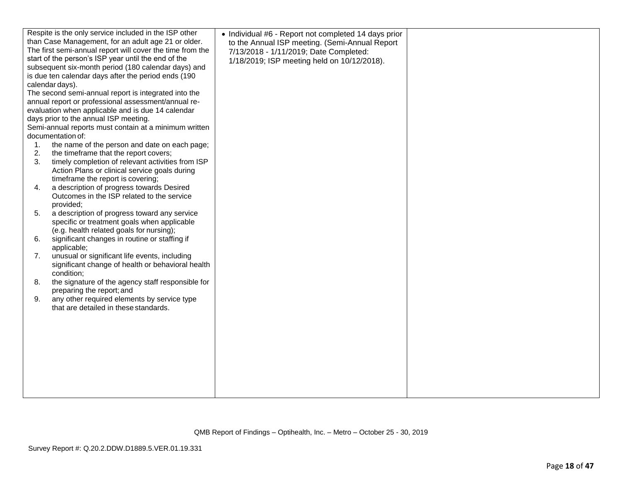| Respite is the only service included in the ISP other     | • Individual #6 - Report not completed 14 days prior |  |
|-----------------------------------------------------------|------------------------------------------------------|--|
| than Case Management, for an adult age 21 or older.       | to the Annual ISP meeting. (Semi-Annual Report       |  |
| The first semi-annual report will cover the time from the | 7/13/2018 - 1/11/2019; Date Completed:               |  |
| start of the person's ISP year until the end of the       | 1/18/2019; ISP meeting held on 10/12/2018).          |  |
| subsequent six-month period (180 calendar days) and       |                                                      |  |
| is due ten calendar days after the period ends (190       |                                                      |  |
| calendar days).                                           |                                                      |  |
| The second semi-annual report is integrated into the      |                                                      |  |
| annual report or professional assessment/annual re-       |                                                      |  |
| evaluation when applicable and is due 14 calendar         |                                                      |  |
| days prior to the annual ISP meeting.                     |                                                      |  |
| Semi-annual reports must contain at a minimum written     |                                                      |  |
| documentation of:                                         |                                                      |  |
| the name of the person and date on each page;<br>1.       |                                                      |  |
| 2.<br>the timeframe that the report covers;               |                                                      |  |
| 3.<br>timely completion of relevant activities from ISP   |                                                      |  |
| Action Plans or clinical service goals during             |                                                      |  |
| timeframe the report is covering;                         |                                                      |  |
| a description of progress towards Desired<br>4.           |                                                      |  |
| Outcomes in the ISP related to the service                |                                                      |  |
| provided;                                                 |                                                      |  |
| a description of progress toward any service<br>5.        |                                                      |  |
| specific or treatment goals when applicable               |                                                      |  |
| (e.g. health related goals for nursing);                  |                                                      |  |
| significant changes in routine or staffing if<br>6.       |                                                      |  |
| applicable;                                               |                                                      |  |
| 7.<br>unusual or significant life events, including       |                                                      |  |
| significant change of health or behavioral health         |                                                      |  |
| condition;                                                |                                                      |  |
| the signature of the agency staff responsible for<br>8.   |                                                      |  |
| preparing the report; and                                 |                                                      |  |
| any other required elements by service type<br>9.         |                                                      |  |
| that are detailed in these standards.                     |                                                      |  |
|                                                           |                                                      |  |
|                                                           |                                                      |  |
|                                                           |                                                      |  |
|                                                           |                                                      |  |
|                                                           |                                                      |  |
|                                                           |                                                      |  |
|                                                           |                                                      |  |
|                                                           |                                                      |  |
|                                                           |                                                      |  |
|                                                           |                                                      |  |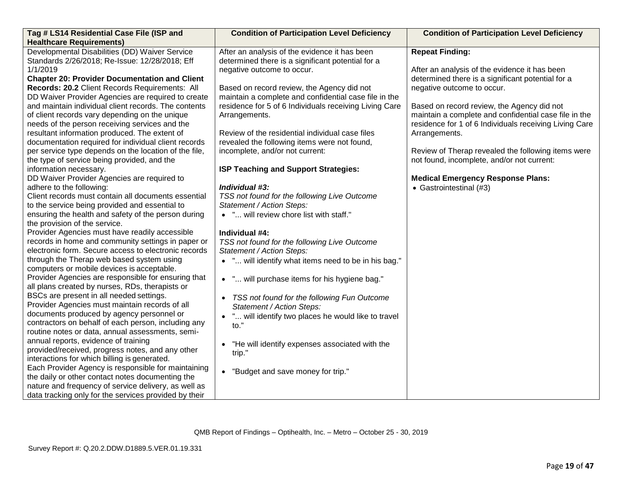| Tag # LS14 Residential Case File (ISP and             | <b>Condition of Participation Level Deficiency</b>       | <b>Condition of Participation Level Deficiency</b>     |
|-------------------------------------------------------|----------------------------------------------------------|--------------------------------------------------------|
| <b>Healthcare Requirements)</b>                       |                                                          |                                                        |
| Developmental Disabilities (DD) Waiver Service        | After an analysis of the evidence it has been            | <b>Repeat Finding:</b>                                 |
| Standards 2/26/2018; Re-Issue: 12/28/2018; Eff        | determined there is a significant potential for a        |                                                        |
| 1/1/2019                                              | negative outcome to occur.                               | After an analysis of the evidence it has been          |
| <b>Chapter 20: Provider Documentation and Client</b>  |                                                          | determined there is a significant potential for a      |
| Records: 20.2 Client Records Requirements: All        | Based on record review, the Agency did not               | negative outcome to occur.                             |
| DD Waiver Provider Agencies are required to create    | maintain a complete and confidential case file in the    |                                                        |
| and maintain individual client records. The contents  | residence for 5 of 6 Individuals receiving Living Care   | Based on record review, the Agency did not             |
| of client records vary depending on the unique        | Arrangements.                                            | maintain a complete and confidential case file in the  |
| needs of the person receiving services and the        |                                                          | residence for 1 of 6 Individuals receiving Living Care |
| resultant information produced. The extent of         | Review of the residential individual case files          | Arrangements.                                          |
| documentation required for individual client records  | revealed the following items were not found,             |                                                        |
| per service type depends on the location of the file, | incomplete, and/or not current:                          | Review of Therap revealed the following items were     |
| the type of service being provided, and the           |                                                          | not found, incomplete, and/or not current:             |
| information necessary.                                | ISP Teaching and Support Strategies:                     |                                                        |
| DD Waiver Provider Agencies are required to           |                                                          | <b>Medical Emergency Response Plans:</b>               |
| adhere to the following:                              | Individual #3:                                           | • Gastrointestinal (#3)                                |
| Client records must contain all documents essential   | TSS not found for the following Live Outcome             |                                                        |
| to the service being provided and essential to        | Statement / Action Steps:                                |                                                        |
| ensuring the health and safety of the person during   | • " will review chore list with staff."                  |                                                        |
| the provision of the service.                         |                                                          |                                                        |
| Provider Agencies must have readily accessible        | Individual #4:                                           |                                                        |
| records in home and community settings in paper or    | TSS not found for the following Live Outcome             |                                                        |
| electronic form. Secure access to electronic records  | Statement / Action Steps:                                |                                                        |
| through the Therap web based system using             | • " will identify what items need to be in his bag."     |                                                        |
| computers or mobile devices is acceptable.            |                                                          |                                                        |
| Provider Agencies are responsible for ensuring that   | • " will purchase items for his hygiene bag."            |                                                        |
| all plans created by nurses, RDs, therapists or       |                                                          |                                                        |
| BSCs are present in all needed settings.              | TSS not found for the following Fun Outcome<br>$\bullet$ |                                                        |
| Provider Agencies must maintain records of all        | Statement / Action Steps:                                |                                                        |
| documents produced by agency personnel or             | " will identify two places he would like to travel       |                                                        |
| contractors on behalf of each person, including any   | to."                                                     |                                                        |
| routine notes or data, annual assessments, semi-      |                                                          |                                                        |
| annual reports, evidence of training                  | "He will identify expenses associated with the           |                                                        |
| provided/received, progress notes, and any other      | trip."                                                   |                                                        |
| interactions for which billing is generated.          |                                                          |                                                        |
| Each Provider Agency is responsible for maintaining   | • "Budget and save money for trip."                      |                                                        |
| the daily or other contact notes documenting the      |                                                          |                                                        |
| nature and frequency of service delivery, as well as  |                                                          |                                                        |
| data tracking only for the services provided by their |                                                          |                                                        |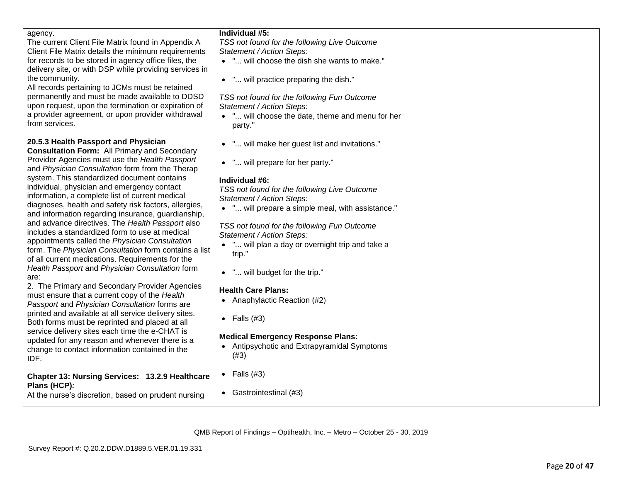| agency.<br>The current Client File Matrix found in Appendix A<br>Client File Matrix details the minimum requirements<br>for records to be stored in agency office files, the<br>delivery site, or with DSP while providing services in<br>the community.<br>All records pertaining to JCMs must be retained<br>permanently and must be made available to DDSD<br>upon request, upon the termination or expiration of<br>a provider agreement, or upon provider withdrawal<br>from services.                                                                                                                                                                                                                                                                                                                                                                                                                                                                                                                                                                                                                                                                                                                                  | Individual #5:<br>TSS not found for the following Live Outcome<br>Statement / Action Steps:<br>• " will choose the dish she wants to make."<br>• " will practice preparing the dish."<br>TSS not found for the following Fun Outcome<br>Statement / Action Steps:<br>. " will choose the date, theme and menu for her<br>party."                                                                                                                                                                                                                                                                     |  |
|------------------------------------------------------------------------------------------------------------------------------------------------------------------------------------------------------------------------------------------------------------------------------------------------------------------------------------------------------------------------------------------------------------------------------------------------------------------------------------------------------------------------------------------------------------------------------------------------------------------------------------------------------------------------------------------------------------------------------------------------------------------------------------------------------------------------------------------------------------------------------------------------------------------------------------------------------------------------------------------------------------------------------------------------------------------------------------------------------------------------------------------------------------------------------------------------------------------------------|------------------------------------------------------------------------------------------------------------------------------------------------------------------------------------------------------------------------------------------------------------------------------------------------------------------------------------------------------------------------------------------------------------------------------------------------------------------------------------------------------------------------------------------------------------------------------------------------------|--|
| 20.5.3 Health Passport and Physician<br><b>Consultation Form: All Primary and Secondary</b><br>Provider Agencies must use the Health Passport<br>and Physician Consultation form from the Therap<br>system. This standardized document contains<br>individual, physician and emergency contact<br>information, a complete list of current medical<br>diagnoses, health and safety risk factors, allergies,<br>and information regarding insurance, guardianship,<br>and advance directives. The Health Passport also<br>includes a standardized form to use at medical<br>appointments called the Physician Consultation<br>form. The Physician Consultation form contains a list<br>of all current medications. Requirements for the<br>Health Passport and Physician Consultation form<br>are:<br>2. The Primary and Secondary Provider Agencies<br>must ensure that a current copy of the Health<br>Passport and Physician Consultation forms are<br>printed and available at all service delivery sites.<br>Both forms must be reprinted and placed at all<br>service delivery sites each time the e-CHAT is<br>updated for any reason and whenever there is a<br>change to contact information contained in the<br>IDF. | • " will make her guest list and invitations."<br>• " will prepare for her party."<br>Individual #6:<br>TSS not found for the following Live Outcome<br>Statement / Action Steps:<br>• " will prepare a simple meal, with assistance."<br>TSS not found for the following Fun Outcome<br>Statement / Action Steps:<br>• " will plan a day or overnight trip and take a<br>trip."<br>• " will budget for the trip."<br><b>Health Care Plans:</b><br>• Anaphylactic Reaction (#2)<br>• Falls $(#3)$<br><b>Medical Emergency Response Plans:</b><br>• Antipsychotic and Extrapyramidal Symptoms<br>(#3) |  |
| Chapter 13: Nursing Services: 13.2.9 Healthcare<br>Plans (HCP):<br>At the nurse's discretion, based on prudent nursing                                                                                                                                                                                                                                                                                                                                                                                                                                                                                                                                                                                                                                                                                                                                                                                                                                                                                                                                                                                                                                                                                                       | • Falls $(#3)$<br>• Gastrointestinal (#3)                                                                                                                                                                                                                                                                                                                                                                                                                                                                                                                                                            |  |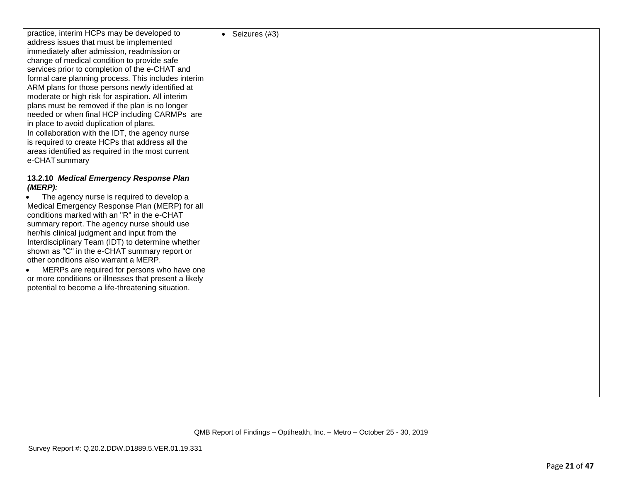| practice, interim HCPs may be developed to            | • Seizures $(#3)$ |  |
|-------------------------------------------------------|-------------------|--|
| address issues that must be implemented               |                   |  |
| immediately after admission, readmission or           |                   |  |
| change of medical condition to provide safe           |                   |  |
| services prior to completion of the e-CHAT and        |                   |  |
| formal care planning process. This includes interim   |                   |  |
| ARM plans for those persons newly identified at       |                   |  |
| moderate or high risk for aspiration. All interim     |                   |  |
| plans must be removed if the plan is no longer        |                   |  |
| needed or when final HCP including CARMPs are         |                   |  |
|                                                       |                   |  |
| in place to avoid duplication of plans.               |                   |  |
| In collaboration with the IDT, the agency nurse       |                   |  |
| is required to create HCPs that address all the       |                   |  |
| areas identified as required in the most current      |                   |  |
| e-CHAT summary                                        |                   |  |
|                                                       |                   |  |
| 13.2.10 Medical Emergency Response Plan               |                   |  |
| $(MERP)$ :                                            |                   |  |
| The agency nurse is required to develop a             |                   |  |
| Medical Emergency Response Plan (MERP) for all        |                   |  |
| conditions marked with an "R" in the e-CHAT           |                   |  |
| summary report. The agency nurse should use           |                   |  |
| her/his clinical judgment and input from the          |                   |  |
|                                                       |                   |  |
| Interdisciplinary Team (IDT) to determine whether     |                   |  |
| shown as "C" in the e-CHAT summary report or          |                   |  |
| other conditions also warrant a MERP.                 |                   |  |
| MERPs are required for persons who have one           |                   |  |
| or more conditions or illnesses that present a likely |                   |  |
| potential to become a life-threatening situation.     |                   |  |
|                                                       |                   |  |
|                                                       |                   |  |
|                                                       |                   |  |
|                                                       |                   |  |
|                                                       |                   |  |
|                                                       |                   |  |
|                                                       |                   |  |
|                                                       |                   |  |
|                                                       |                   |  |
|                                                       |                   |  |
|                                                       |                   |  |
|                                                       |                   |  |
|                                                       |                   |  |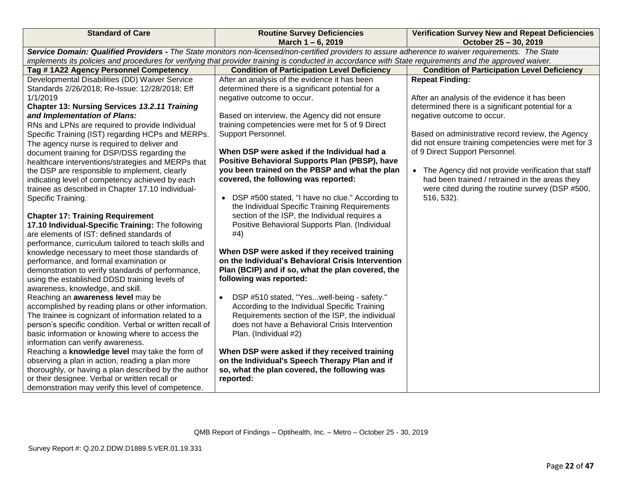| <b>Standard of Care</b>                                                                                                                                                                                                                                                                                                                                                                                                                                                                                                                                                                                                                                                                                                                                                                                                                                                                                                                                                                                                                                                                                                                                                                                                                                                                                                                                                                                                                                                                                                                                                                                                                                                                                             | <b>Routine Survey Deficiencies</b><br>March 1-6, 2019                                                                                                                                                                                                                                                                                                                                                                                                                                                                                                                                                                                                                                                                                                                                                                                                                                                                                                                                                                                                                                                                                                                                                                                                                                                            | <b>Verification Survey New and Repeat Deficiencies</b><br>October 25 - 30, 2019                                                                                                                                                                                                                                                                                                                                                                                                                                                           |
|---------------------------------------------------------------------------------------------------------------------------------------------------------------------------------------------------------------------------------------------------------------------------------------------------------------------------------------------------------------------------------------------------------------------------------------------------------------------------------------------------------------------------------------------------------------------------------------------------------------------------------------------------------------------------------------------------------------------------------------------------------------------------------------------------------------------------------------------------------------------------------------------------------------------------------------------------------------------------------------------------------------------------------------------------------------------------------------------------------------------------------------------------------------------------------------------------------------------------------------------------------------------------------------------------------------------------------------------------------------------------------------------------------------------------------------------------------------------------------------------------------------------------------------------------------------------------------------------------------------------------------------------------------------------------------------------------------------------|------------------------------------------------------------------------------------------------------------------------------------------------------------------------------------------------------------------------------------------------------------------------------------------------------------------------------------------------------------------------------------------------------------------------------------------------------------------------------------------------------------------------------------------------------------------------------------------------------------------------------------------------------------------------------------------------------------------------------------------------------------------------------------------------------------------------------------------------------------------------------------------------------------------------------------------------------------------------------------------------------------------------------------------------------------------------------------------------------------------------------------------------------------------------------------------------------------------------------------------------------------------------------------------------------------------|-------------------------------------------------------------------------------------------------------------------------------------------------------------------------------------------------------------------------------------------------------------------------------------------------------------------------------------------------------------------------------------------------------------------------------------------------------------------------------------------------------------------------------------------|
|                                                                                                                                                                                                                                                                                                                                                                                                                                                                                                                                                                                                                                                                                                                                                                                                                                                                                                                                                                                                                                                                                                                                                                                                                                                                                                                                                                                                                                                                                                                                                                                                                                                                                                                     | Service Domain: Qualified Providers - The State monitors non-licensed/non-certified providers to assure adherence to waiver requirements. The State                                                                                                                                                                                                                                                                                                                                                                                                                                                                                                                                                                                                                                                                                                                                                                                                                                                                                                                                                                                                                                                                                                                                                              |                                                                                                                                                                                                                                                                                                                                                                                                                                                                                                                                           |
|                                                                                                                                                                                                                                                                                                                                                                                                                                                                                                                                                                                                                                                                                                                                                                                                                                                                                                                                                                                                                                                                                                                                                                                                                                                                                                                                                                                                                                                                                                                                                                                                                                                                                                                     | implements its policies and procedures for verifying that provider training is conducted in accordance with State requirements and the approved waiver.                                                                                                                                                                                                                                                                                                                                                                                                                                                                                                                                                                                                                                                                                                                                                                                                                                                                                                                                                                                                                                                                                                                                                          |                                                                                                                                                                                                                                                                                                                                                                                                                                                                                                                                           |
|                                                                                                                                                                                                                                                                                                                                                                                                                                                                                                                                                                                                                                                                                                                                                                                                                                                                                                                                                                                                                                                                                                                                                                                                                                                                                                                                                                                                                                                                                                                                                                                                                                                                                                                     |                                                                                                                                                                                                                                                                                                                                                                                                                                                                                                                                                                                                                                                                                                                                                                                                                                                                                                                                                                                                                                                                                                                                                                                                                                                                                                                  |                                                                                                                                                                                                                                                                                                                                                                                                                                                                                                                                           |
| Tag #1A22 Agency Personnel Competency<br>Developmental Disabilities (DD) Waiver Service<br>Standards 2/26/2018; Re-Issue: 12/28/2018; Eff<br>1/1/2019<br><b>Chapter 13: Nursing Services 13.2.11 Training</b><br>and Implementation of Plans:<br>RNs and LPNs are required to provide Individual<br>Specific Training (IST) regarding HCPs and MERPs.<br>The agency nurse is required to deliver and<br>document training for DSP/DSS regarding the<br>healthcare interventions/strategies and MERPs that<br>the DSP are responsible to implement, clearly<br>indicating level of competency achieved by each<br>trainee as described in Chapter 17.10 Individual-<br>Specific Training.<br><b>Chapter 17: Training Requirement</b><br>17.10 Individual-Specific Training: The following<br>are elements of IST: defined standards of<br>performance, curriculum tailored to teach skills and<br>knowledge necessary to meet those standards of<br>performance, and formal examination or<br>demonstration to verify standards of performance,<br>using the established DDSD training levels of<br>awareness, knowledge, and skill.<br>Reaching an awareness level may be<br>accomplished by reading plans or other information.<br>The trainee is cognizant of information related to a<br>person's specific condition. Verbal or written recall of<br>basic information or knowing where to access the<br>information can verify awareness.<br>Reaching a knowledge level may take the form of<br>observing a plan in action, reading a plan more<br>thoroughly, or having a plan described by the author<br>or their designee. Verbal or written recall or<br>demonstration may verify this level of competence. | <b>Condition of Participation Level Deficiency</b><br>After an analysis of the evidence it has been<br>determined there is a significant potential for a<br>negative outcome to occur.<br>Based on interview, the Agency did not ensure<br>training competencies were met for 5 of 9 Direct<br>Support Personnel.<br>When DSP were asked if the Individual had a<br>Positive Behavioral Supports Plan (PBSP), have<br>you been trained on the PBSP and what the plan<br>covered, the following was reported:<br>• DSP #500 stated, "I have no clue." According to<br>the Individual Specific Training Requirements<br>section of the ISP, the Individual requires a<br>Positive Behavioral Supports Plan. (Individual<br>#4)<br>When DSP were asked if they received training<br>on the Individual's Behavioral Crisis Intervention<br>Plan (BCIP) and if so, what the plan covered, the<br>following was reported:<br>DSP #510 stated, "Yeswell-being - safety."<br>According to the Individual Specific Training<br>Requirements section of the ISP, the individual<br>does not have a Behavioral Crisis Intervention<br>Plan. (Individual #2)<br>When DSP were asked if they received training<br>on the Individual's Speech Therapy Plan and if<br>so, what the plan covered, the following was<br>reported: | <b>Condition of Participation Level Deficiency</b><br><b>Repeat Finding:</b><br>After an analysis of the evidence it has been<br>determined there is a significant potential for a<br>negative outcome to occur.<br>Based on administrative record review, the Agency<br>did not ensure training competencies were met for 3<br>of 9 Direct Support Personnel.<br>• The Agency did not provide verification that staff<br>had been trained / retrained in the areas they<br>were cited during the routine survey (DSP #500,<br>516, 532). |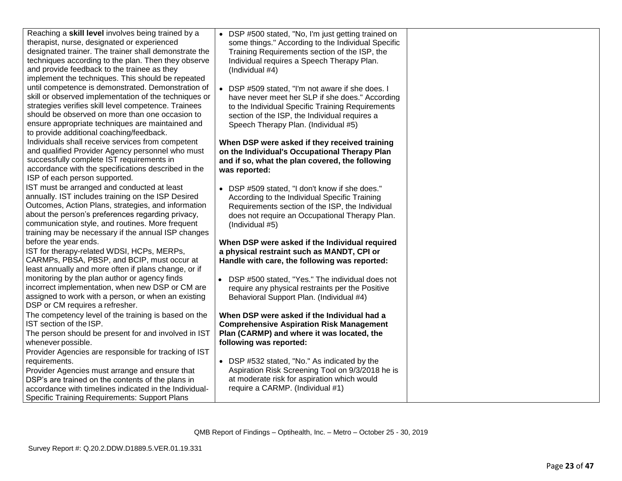| Reaching a skill level involves being trained by a<br>therapist, nurse, designated or experienced<br>designated trainer. The trainer shall demonstrate the<br>techniques according to the plan. Then they observe<br>and provide feedback to the trainee as they<br>implement the techniques. This should be repeated    | DSP #500 stated, "No, I'm just getting trained on<br>some things." According to the Individual Specific<br>Training Requirements section of the ISP, the<br>Individual requires a Speech Therapy Plan.<br>(Individual #4)                      |
|--------------------------------------------------------------------------------------------------------------------------------------------------------------------------------------------------------------------------------------------------------------------------------------------------------------------------|------------------------------------------------------------------------------------------------------------------------------------------------------------------------------------------------------------------------------------------------|
| until competence is demonstrated. Demonstration of<br>skill or observed implementation of the techniques or<br>strategies verifies skill level competence. Trainees<br>should be observed on more than one occasion to<br>ensure appropriate techniques are maintained and<br>to provide additional coaching/feedback.   | DSP #509 stated, "I'm not aware if she does. I<br>have never meet her SLP if she does." According<br>to the Individual Specific Training Requirements<br>section of the ISP, the Individual requires a<br>Speech Therapy Plan. (Individual #5) |
| Individuals shall receive services from competent<br>and qualified Provider Agency personnel who must<br>successfully complete IST requirements in<br>accordance with the specifications described in the<br>ISP of each person supported.                                                                               | When DSP were asked if they received training<br>on the Individual's Occupational Therapy Plan<br>and if so, what the plan covered, the following<br>was reported:                                                                             |
| IST must be arranged and conducted at least<br>annually. IST includes training on the ISP Desired<br>Outcomes, Action Plans, strategies, and information<br>about the person's preferences regarding privacy,<br>communication style, and routines. More frequent<br>training may be necessary if the annual ISP changes | • DSP #509 stated, "I don't know if she does."<br>According to the Individual Specific Training<br>Requirements section of the ISP, the Individual<br>does not require an Occupational Therapy Plan.<br>(Individual #5)                        |
| before the year ends.<br>IST for therapy-related WDSI, HCPs, MERPs,<br>CARMPs, PBSA, PBSP, and BCIP, must occur at<br>least annually and more often if plans change, or if                                                                                                                                               | When DSP were asked if the Individual required<br>a physical restraint such as MANDT, CPI or<br>Handle with care, the following was reported:                                                                                                  |
| monitoring by the plan author or agency finds<br>incorrect implementation, when new DSP or CM are<br>assigned to work with a person, or when an existing<br>DSP or CM requires a refresher.                                                                                                                              | DSP #500 stated, "Yes." The individual does not<br>require any physical restraints per the Positive<br>Behavioral Support Plan. (Individual #4)                                                                                                |
| The competency level of the training is based on the<br>IST section of the ISP.<br>The person should be present for and involved in IST<br>whenever possible.<br>Provider Agencies are responsible for tracking of IST                                                                                                   | When DSP were asked if the Individual had a<br><b>Comprehensive Aspiration Risk Management</b><br>Plan (CARMP) and where it was located, the<br>following was reported:                                                                        |
| requirements.<br>Provider Agencies must arrange and ensure that<br>DSP's are trained on the contents of the plans in<br>accordance with timelines indicated in the Individual-<br><b>Specific Training Requirements: Support Plans</b>                                                                                   | • DSP #532 stated, "No." As indicated by the<br>Aspiration Risk Screening Tool on 9/3/2018 he is<br>at moderate risk for aspiration which would<br>require a CARMP. (Individual #1)                                                            |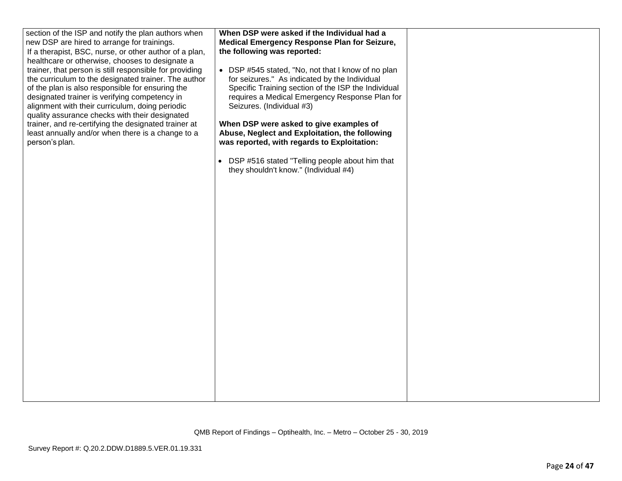| section of the ISP and notify the plan authors when<br>new DSP are hired to arrange for trainings.<br>If a therapist, BSC, nurse, or other author of a plan,<br>healthcare or otherwise, chooses to designate a<br>trainer, that person is still responsible for providing<br>the curriculum to the designated trainer. The author<br>of the plan is also responsible for ensuring the<br>designated trainer is verifying competency in<br>alignment with their curriculum, doing periodic<br>quality assurance checks with their designated<br>trainer, and re-certifying the designated trainer at<br>least annually and/or when there is a change to a<br>person's plan. | When DSP were asked if the Individual had a<br>Medical Emergency Response Plan for Seizure,<br>the following was reported:<br>• DSP #545 stated, "No, not that I know of no plan<br>for seizures." As indicated by the Individual<br>Specific Training section of the ISP the Individual<br>requires a Medical Emergency Response Plan for<br>Seizures. (Individual #3)<br>When DSP were asked to give examples of<br>Abuse, Neglect and Exploitation, the following<br>was reported, with regards to Exploitation:<br>• DSP #516 stated "Telling people about him that<br>they shouldn't know." (Individual #4) |  |
|-----------------------------------------------------------------------------------------------------------------------------------------------------------------------------------------------------------------------------------------------------------------------------------------------------------------------------------------------------------------------------------------------------------------------------------------------------------------------------------------------------------------------------------------------------------------------------------------------------------------------------------------------------------------------------|------------------------------------------------------------------------------------------------------------------------------------------------------------------------------------------------------------------------------------------------------------------------------------------------------------------------------------------------------------------------------------------------------------------------------------------------------------------------------------------------------------------------------------------------------------------------------------------------------------------|--|
|-----------------------------------------------------------------------------------------------------------------------------------------------------------------------------------------------------------------------------------------------------------------------------------------------------------------------------------------------------------------------------------------------------------------------------------------------------------------------------------------------------------------------------------------------------------------------------------------------------------------------------------------------------------------------------|------------------------------------------------------------------------------------------------------------------------------------------------------------------------------------------------------------------------------------------------------------------------------------------------------------------------------------------------------------------------------------------------------------------------------------------------------------------------------------------------------------------------------------------------------------------------------------------------------------------|--|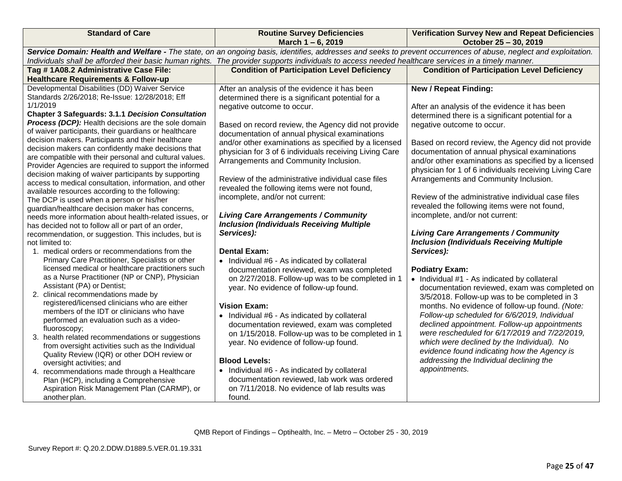| <b>Standard of Care</b>                                                                                                                                                                                                                                                                                                                                                                                                                                                                                                                                                                                                                                                                                                                                                                                                                                                                                                                                                                                                                                                                                                                                                                                                                                                                                                                                                                                                                                                                                                                                                                                                                                                                                                                                                                  | <b>Routine Survey Deficiencies</b><br>March 1-6, 2019                                                                                                                                                                                                                                                                                                                                                                                                                                                                                                                                                                                                                                                                                                                                                                                                                                                                                                                                                                                                                                                                                                                                                                                                                              | <b>Verification Survey New and Repeat Deficiencies</b><br>October 25 - 30, 2019                                                                                                                                                                                                                                                                                                                                                                                                                                                                                                                                                                                                                                                                                                                                                                                                                                                                                                                                                                                                                                                                                                                                                    |
|------------------------------------------------------------------------------------------------------------------------------------------------------------------------------------------------------------------------------------------------------------------------------------------------------------------------------------------------------------------------------------------------------------------------------------------------------------------------------------------------------------------------------------------------------------------------------------------------------------------------------------------------------------------------------------------------------------------------------------------------------------------------------------------------------------------------------------------------------------------------------------------------------------------------------------------------------------------------------------------------------------------------------------------------------------------------------------------------------------------------------------------------------------------------------------------------------------------------------------------------------------------------------------------------------------------------------------------------------------------------------------------------------------------------------------------------------------------------------------------------------------------------------------------------------------------------------------------------------------------------------------------------------------------------------------------------------------------------------------------------------------------------------------------|------------------------------------------------------------------------------------------------------------------------------------------------------------------------------------------------------------------------------------------------------------------------------------------------------------------------------------------------------------------------------------------------------------------------------------------------------------------------------------------------------------------------------------------------------------------------------------------------------------------------------------------------------------------------------------------------------------------------------------------------------------------------------------------------------------------------------------------------------------------------------------------------------------------------------------------------------------------------------------------------------------------------------------------------------------------------------------------------------------------------------------------------------------------------------------------------------------------------------------------------------------------------------------|------------------------------------------------------------------------------------------------------------------------------------------------------------------------------------------------------------------------------------------------------------------------------------------------------------------------------------------------------------------------------------------------------------------------------------------------------------------------------------------------------------------------------------------------------------------------------------------------------------------------------------------------------------------------------------------------------------------------------------------------------------------------------------------------------------------------------------------------------------------------------------------------------------------------------------------------------------------------------------------------------------------------------------------------------------------------------------------------------------------------------------------------------------------------------------------------------------------------------------|
|                                                                                                                                                                                                                                                                                                                                                                                                                                                                                                                                                                                                                                                                                                                                                                                                                                                                                                                                                                                                                                                                                                                                                                                                                                                                                                                                                                                                                                                                                                                                                                                                                                                                                                                                                                                          | Service Domain: Health and Welfare - The state, on an ongoing basis, identifies, addresses and seeks to prevent occurrences of abuse, neglect and exploitation.<br>Individuals shall be afforded their basic human rights. The provider supports individuals to access needed healthcare services in a timely manner.                                                                                                                                                                                                                                                                                                                                                                                                                                                                                                                                                                                                                                                                                                                                                                                                                                                                                                                                                              |                                                                                                                                                                                                                                                                                                                                                                                                                                                                                                                                                                                                                                                                                                                                                                                                                                                                                                                                                                                                                                                                                                                                                                                                                                    |
| Tag #1A08.2 Administrative Case File:<br><b>Healthcare Requirements &amp; Follow-up</b>                                                                                                                                                                                                                                                                                                                                                                                                                                                                                                                                                                                                                                                                                                                                                                                                                                                                                                                                                                                                                                                                                                                                                                                                                                                                                                                                                                                                                                                                                                                                                                                                                                                                                                  | <b>Condition of Participation Level Deficiency</b>                                                                                                                                                                                                                                                                                                                                                                                                                                                                                                                                                                                                                                                                                                                                                                                                                                                                                                                                                                                                                                                                                                                                                                                                                                 | <b>Condition of Participation Level Deficiency</b>                                                                                                                                                                                                                                                                                                                                                                                                                                                                                                                                                                                                                                                                                                                                                                                                                                                                                                                                                                                                                                                                                                                                                                                 |
| Developmental Disabilities (DD) Waiver Service<br>Standards 2/26/2018; Re-Issue: 12/28/2018; Eff<br>1/1/2019<br><b>Chapter 3 Safeguards: 3.1.1 Decision Consultation</b><br><b>Process (DCP):</b> Health decisions are the sole domain<br>of waiver participants, their guardians or healthcare<br>decision makers. Participants and their healthcare<br>decision makers can confidently make decisions that<br>are compatible with their personal and cultural values.<br>Provider Agencies are required to support the informed<br>decision making of waiver participants by supporting<br>access to medical consultation, information, and other<br>available resources according to the following:<br>The DCP is used when a person or his/her<br>guardian/healthcare decision maker has concerns,<br>needs more information about health-related issues, or<br>has decided not to follow all or part of an order,<br>recommendation, or suggestion. This includes, but is<br>not limited to:<br>1. medical orders or recommendations from the<br>Primary Care Practitioner, Specialists or other<br>licensed medical or healthcare practitioners such<br>as a Nurse Practitioner (NP or CNP), Physician<br>Assistant (PA) or Dentist;<br>2. clinical recommendations made by<br>registered/licensed clinicians who are either<br>members of the IDT or clinicians who have<br>performed an evaluation such as a video-<br>fluoroscopy;<br>3. health related recommendations or suggestions<br>from oversight activities such as the Individual<br>Quality Review (IQR) or other DOH review or<br>oversight activities; and<br>4. recommendations made through a Healthcare<br>Plan (HCP), including a Comprehensive<br>Aspiration Risk Management Plan (CARMP), or<br>another plan. | After an analysis of the evidence it has been<br>determined there is a significant potential for a<br>negative outcome to occur.<br>Based on record review, the Agency did not provide<br>documentation of annual physical examinations<br>and/or other examinations as specified by a licensed<br>physician for 3 of 6 individuals receiving Living Care<br>Arrangements and Community Inclusion.<br>Review of the administrative individual case files<br>revealed the following items were not found,<br>incomplete, and/or not current:<br><b>Living Care Arrangements / Community</b><br><b>Inclusion (Individuals Receiving Multiple</b><br>Services):<br><b>Dental Exam:</b><br>• Individual #6 - As indicated by collateral<br>documentation reviewed, exam was completed<br>on 2/27/2018. Follow-up was to be completed in 1<br>year. No evidence of follow-up found.<br><b>Vision Exam:</b><br>• Individual #6 - As indicated by collateral<br>documentation reviewed, exam was completed<br>on 1/15/2018. Follow-up was to be completed in 1<br>year. No evidence of follow-up found.<br><b>Blood Levels:</b><br>• Individual #6 - As indicated by collateral<br>documentation reviewed, lab work was ordered<br>on 7/11/2018. No evidence of lab results was<br>found. | <b>New / Repeat Finding:</b><br>After an analysis of the evidence it has been<br>determined there is a significant potential for a<br>negative outcome to occur.<br>Based on record review, the Agency did not provide<br>documentation of annual physical examinations<br>and/or other examinations as specified by a licensed<br>physician for 1 of 6 individuals receiving Living Care<br>Arrangements and Community Inclusion.<br>Review of the administrative individual case files<br>revealed the following items were not found,<br>incomplete, and/or not current:<br><b>Living Care Arrangements / Community</b><br><b>Inclusion (Individuals Receiving Multiple</b><br>Services):<br><b>Podiatry Exam:</b><br>• Individual #1 - As indicated by collateral<br>documentation reviewed, exam was completed on<br>3/5/2018. Follow-up was to be completed in 3<br>months. No evidence of follow-up found. (Note:<br>Follow-up scheduled for 6/6/2019, Individual<br>declined appointment. Follow-up appointments<br>were rescheduled for 6/17/2019 and 7/22/2019,<br>which were declined by the Individual). No<br>evidence found indicating how the Agency is<br>addressing the Individual declining the<br>appointments. |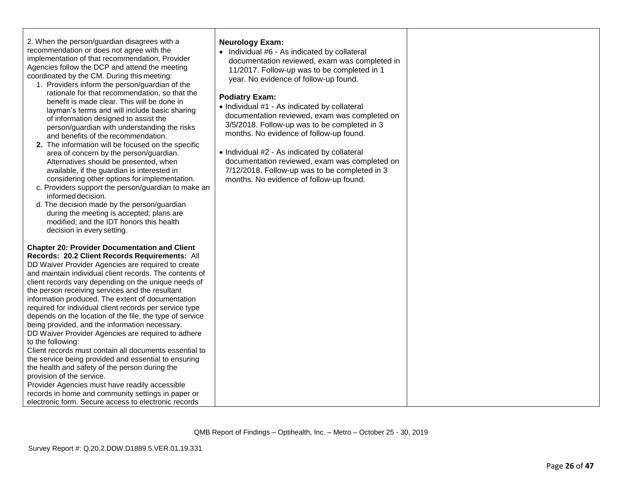| 2. When the person/guardian disagrees with a    |
|-------------------------------------------------|
| recommendation or does not agree with the       |
| implementation of that recommendation, Provider |
| Agencies follow the DCP and attend the meeting  |
| coordinated by the CM. During this meeting:     |

- 1. Providers inform the person/guardian of the rationale for that recommendation, so that the benefit is made clear. This will be done in layman's terms and will include basic sharing of information designed to assist the person/guardian with understanding the risks and benefits of the recommendation.
- **2.** The information will be focused on the specific area of concern by the person/guardian. Alternatives should be presented, when available, if the guardian is interested in considering other options for implementation.
- c. Providers support the person/guardian to make an informed decision.
- d. The decision made by the person/guardian during the meeting is accepted; plans are modified; and the IDT honors this health decision in every setting.

#### **Chapter 20: Provider Documentation and Client Records: 20.2 Client Records Requirements:** All

DD Waiver Provider Agencies are required to create and maintain individual client records. The contents of client records vary depending on the unique needs of the person receiving services and the resultant information produced. The extent of documentation required for individual client records per service type depends on the location of the file, the type of service being provided, and the information necessary. DD Waiver Provider Agencies are required to adhere to the following: 1. Client records must contain all documents essential to the service being provided and essential to ensuring the health and safety of the person during the provision of the service.

Provider Agencies must have readily accessible records in home and community settings in paper or electronic form. Secure access to electronic records

# **Neurology Exam:**

• Individual #6 - As indicated by collateral documentation reviewed, exam was completed in 11/2017. Follow -up was to be completed in 1 year. No evidence of follow -up found.

# **Podiatry Exam:**

- Individual #1 As indicated by collateral documentation reviewed, exam was completed on 3/5/2018. Follow -up was to be completed in 3 months. No evidence of follow -up found.
- Individual #2 As indicated by collateral documentation reviewed, exam was completed on 7/12/2018. Follow -up was to be completed in 3 months. No evidence of follow -up found.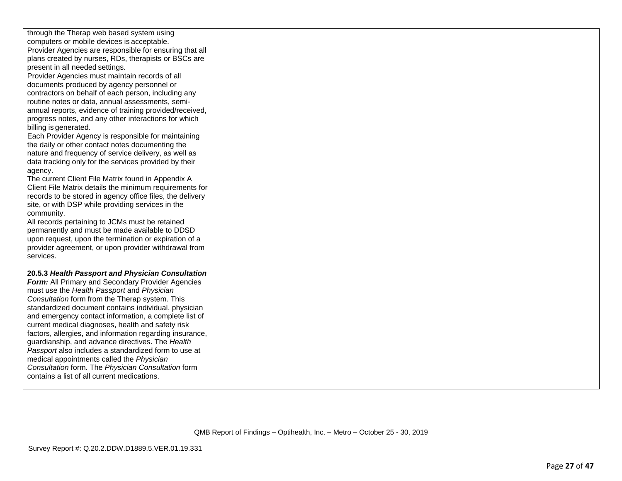| through the Therap web based system using                 |  |
|-----------------------------------------------------------|--|
| computers or mobile devices is acceptable.                |  |
| Provider Agencies are responsible for ensuring that all   |  |
| plans created by nurses, RDs, therapists or BSCs are      |  |
| present in all needed settings.                           |  |
| Provider Agencies must maintain records of all            |  |
| documents produced by agency personnel or                 |  |
| contractors on behalf of each person, including any       |  |
| routine notes or data, annual assessments, semi-          |  |
| annual reports, evidence of training provided/received,   |  |
| progress notes, and any other interactions for which      |  |
| billing is generated.                                     |  |
| Each Provider Agency is responsible for maintaining       |  |
| the daily or other contact notes documenting the          |  |
| nature and frequency of service delivery, as well as      |  |
| data tracking only for the services provided by their     |  |
| agency.                                                   |  |
| The current Client File Matrix found in Appendix A        |  |
| Client File Matrix details the minimum requirements for   |  |
| records to be stored in agency office files, the delivery |  |
| site, or with DSP while providing services in the         |  |
| community.                                                |  |
| All records pertaining to JCMs must be retained           |  |
| permanently and must be made available to DDSD            |  |
| upon request, upon the termination or expiration of a     |  |
| provider agreement, or upon provider withdrawal from      |  |
| services.                                                 |  |
|                                                           |  |
| 20.5.3 Health Passport and Physician Consultation         |  |
| Form: All Primary and Secondary Provider Agencies         |  |
| must use the Health Passport and Physician                |  |
| Consultation form from the Therap system. This            |  |
| standardized document contains individual, physician      |  |
| and emergency contact information, a complete list of     |  |
| current medical diagnoses, health and safety risk         |  |
| factors, allergies, and information regarding insurance,  |  |
| guardianship, and advance directives. The Health          |  |
| Passport also includes a standardized form to use at      |  |
| medical appointments called the Physician                 |  |
| Consultation form. The Physician Consultation form        |  |
| contains a list of all current medications.               |  |
|                                                           |  |
|                                                           |  |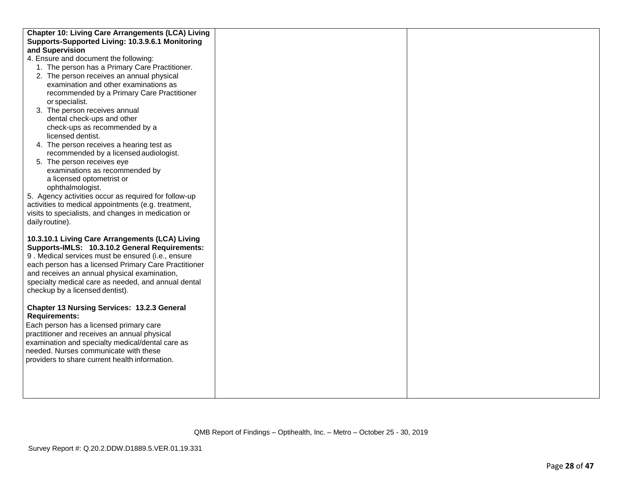| <b>Chapter 10: Living Care Arrangements (LCA) Living</b> |  |
|----------------------------------------------------------|--|
| Supports-Supported Living: 10.3.9.6.1 Monitoring         |  |
| and Supervision                                          |  |
| 4. Ensure and document the following:                    |  |
| 1. The person has a Primary Care Practitioner.           |  |
| 2. The person receives an annual physical                |  |
| examination and other examinations as                    |  |
| recommended by a Primary Care Practitioner               |  |
| or specialist.                                           |  |
| 3. The person receives annual                            |  |
| dental check-ups and other                               |  |
| check-ups as recommended by a                            |  |
| licensed dentist.                                        |  |
| 4. The person receives a hearing test as                 |  |
| recommended by a licensed audiologist.                   |  |
| 5. The person receives eye                               |  |
| examinations as recommended by                           |  |
| a licensed optometrist or                                |  |
| ophthalmologist.                                         |  |
| 5. Agency activities occur as required for follow-up     |  |
| activities to medical appointments (e.g. treatment,      |  |
| visits to specialists, and changes in medication or      |  |
| daily routine).                                          |  |
|                                                          |  |
| 10.3.10.1 Living Care Arrangements (LCA) Living          |  |
| Supports-IMLS: 10.3.10.2 General Requirements:           |  |
| 9. Medical services must be ensured (i.e., ensure        |  |
| each person has a licensed Primary Care Practitioner     |  |
| and receives an annual physical examination,             |  |
| specialty medical care as needed, and annual dental      |  |
| checkup by a licensed dentist).                          |  |
|                                                          |  |
| Chapter 13 Nursing Services: 13.2.3 General              |  |
| <b>Requirements:</b>                                     |  |
| Each person has a licensed primary care                  |  |
| practitioner and receives an annual physical             |  |
| examination and specialty medical/dental care as         |  |
| needed. Nurses communicate with these                    |  |
| providers to share current health information.           |  |
|                                                          |  |
|                                                          |  |
|                                                          |  |
|                                                          |  |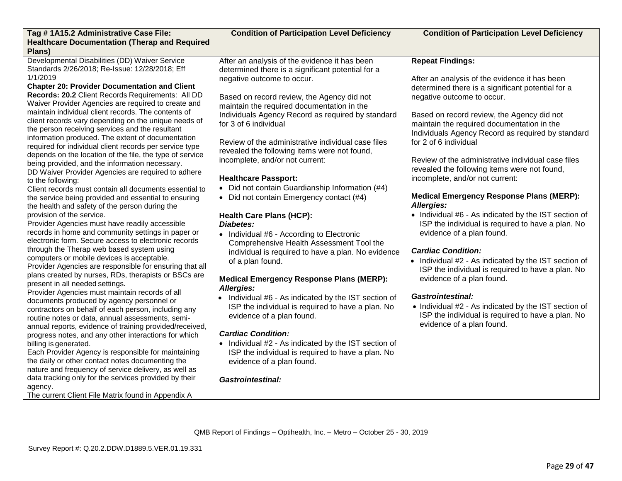| Tag #1A15.2 Administrative Case File:                                                                                                                                                                                                                                                                                                                                                                                                                                                                                                                                                                                                                                                                                                                                                                                                                                                                                                                                                                                                                                                                                                                                                                                                                                                                                                                                                                                                                                                                                                                                                                                                                                                                                                                                                                                                                                                                                                                                                                                            | <b>Condition of Participation Level Deficiency</b>                                                                                                                                                                                                                                                                                                                                                                                                                                                                                                                                                                                                                                                                                                                                                                                                                                                                                                                                                                                                                                                                                                                                                                          | <b>Condition of Participation Level Deficiency</b>                                                                                                                                                                                                                                                                                                                                                                                                                                                                                                                                                                                                                                                                                                                                                                                                                                                                                                                                                                                     |
|----------------------------------------------------------------------------------------------------------------------------------------------------------------------------------------------------------------------------------------------------------------------------------------------------------------------------------------------------------------------------------------------------------------------------------------------------------------------------------------------------------------------------------------------------------------------------------------------------------------------------------------------------------------------------------------------------------------------------------------------------------------------------------------------------------------------------------------------------------------------------------------------------------------------------------------------------------------------------------------------------------------------------------------------------------------------------------------------------------------------------------------------------------------------------------------------------------------------------------------------------------------------------------------------------------------------------------------------------------------------------------------------------------------------------------------------------------------------------------------------------------------------------------------------------------------------------------------------------------------------------------------------------------------------------------------------------------------------------------------------------------------------------------------------------------------------------------------------------------------------------------------------------------------------------------------------------------------------------------------------------------------------------------|-----------------------------------------------------------------------------------------------------------------------------------------------------------------------------------------------------------------------------------------------------------------------------------------------------------------------------------------------------------------------------------------------------------------------------------------------------------------------------------------------------------------------------------------------------------------------------------------------------------------------------------------------------------------------------------------------------------------------------------------------------------------------------------------------------------------------------------------------------------------------------------------------------------------------------------------------------------------------------------------------------------------------------------------------------------------------------------------------------------------------------------------------------------------------------------------------------------------------------|----------------------------------------------------------------------------------------------------------------------------------------------------------------------------------------------------------------------------------------------------------------------------------------------------------------------------------------------------------------------------------------------------------------------------------------------------------------------------------------------------------------------------------------------------------------------------------------------------------------------------------------------------------------------------------------------------------------------------------------------------------------------------------------------------------------------------------------------------------------------------------------------------------------------------------------------------------------------------------------------------------------------------------------|
| <b>Healthcare Documentation (Therap and Required</b><br>Plans)                                                                                                                                                                                                                                                                                                                                                                                                                                                                                                                                                                                                                                                                                                                                                                                                                                                                                                                                                                                                                                                                                                                                                                                                                                                                                                                                                                                                                                                                                                                                                                                                                                                                                                                                                                                                                                                                                                                                                                   |                                                                                                                                                                                                                                                                                                                                                                                                                                                                                                                                                                                                                                                                                                                                                                                                                                                                                                                                                                                                                                                                                                                                                                                                                             |                                                                                                                                                                                                                                                                                                                                                                                                                                                                                                                                                                                                                                                                                                                                                                                                                                                                                                                                                                                                                                        |
| Developmental Disabilities (DD) Waiver Service<br>Standards 2/26/2018; Re-Issue: 12/28/2018; Eff<br>1/1/2019<br><b>Chapter 20: Provider Documentation and Client</b><br>Records: 20.2 Client Records Requirements: All DD<br>Waiver Provider Agencies are required to create and<br>maintain individual client records. The contents of<br>client records vary depending on the unique needs of<br>the person receiving services and the resultant<br>information produced. The extent of documentation<br>required for individual client records per service type<br>depends on the location of the file, the type of service<br>being provided, and the information necessary.<br>DD Waiver Provider Agencies are required to adhere<br>to the following:<br>Client records must contain all documents essential to<br>the service being provided and essential to ensuring<br>the health and safety of the person during the<br>provision of the service.<br>Provider Agencies must have readily accessible<br>records in home and community settings in paper or<br>electronic form. Secure access to electronic records<br>through the Therap web based system using<br>computers or mobile devices is acceptable.<br>Provider Agencies are responsible for ensuring that all<br>plans created by nurses, RDs, therapists or BSCs are<br>present in all needed settings.<br>Provider Agencies must maintain records of all<br>documents produced by agency personnel or<br>contractors on behalf of each person, including any<br>routine notes or data, annual assessments, semi-<br>annual reports, evidence of training provided/received,<br>progress notes, and any other interactions for which<br>billing is generated.<br>Each Provider Agency is responsible for maintaining<br>the daily or other contact notes documenting the<br>nature and frequency of service delivery, as well as<br>data tracking only for the services provided by their<br>agency.<br>The current Client File Matrix found in Appendix A | After an analysis of the evidence it has been<br>determined there is a significant potential for a<br>negative outcome to occur.<br>Based on record review, the Agency did not<br>maintain the required documentation in the<br>Individuals Agency Record as required by standard<br>for 3 of 6 individual<br>Review of the administrative individual case files<br>revealed the following items were not found,<br>incomplete, and/or not current:<br><b>Healthcare Passport:</b><br>Did not contain Guardianship Information (#4)<br>$\bullet$<br>• Did not contain Emergency contact (#4)<br><b>Health Care Plans (HCP):</b><br>Diabetes:<br>• Individual #6 - According to Electronic<br>Comprehensive Health Assessment Tool the<br>individual is required to have a plan. No evidence<br>of a plan found.<br><b>Medical Emergency Response Plans (MERP):</b><br>Allergies:<br>Individual #6 - As indicated by the IST section of<br>ISP the individual is required to have a plan. No<br>evidence of a plan found.<br><b>Cardiac Condition:</b><br>• Individual #2 - As indicated by the IST section of<br>ISP the individual is required to have a plan. No<br>evidence of a plan found.<br><b>Gastrointestinal:</b> | <b>Repeat Findings:</b><br>After an analysis of the evidence it has been<br>determined there is a significant potential for a<br>negative outcome to occur.<br>Based on record review, the Agency did not<br>maintain the required documentation in the<br>Individuals Agency Record as required by standard<br>for 2 of 6 individual<br>Review of the administrative individual case files<br>revealed the following items were not found,<br>incomplete, and/or not current:<br><b>Medical Emergency Response Plans (MERP):</b><br>Allergies:<br>• Individual #6 - As indicated by the IST section of<br>ISP the individual is required to have a plan. No<br>evidence of a plan found.<br><b>Cardiac Condition:</b><br>• Individual #2 - As indicated by the IST section of<br>ISP the individual is required to have a plan. No<br>evidence of a plan found.<br><b>Gastrointestinal:</b><br>• Individual #2 - As indicated by the IST section of<br>ISP the individual is required to have a plan. No<br>evidence of a plan found. |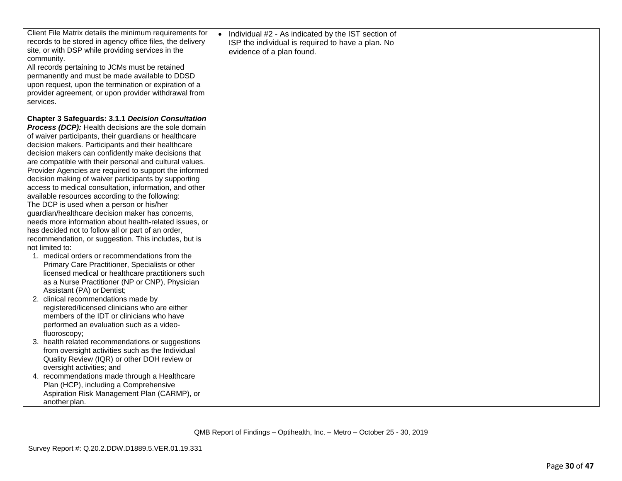| Client File Matrix details the minimum requirements for   | Individual #2 - As indicated by the IST section of |  |
|-----------------------------------------------------------|----------------------------------------------------|--|
| records to be stored in agency office files, the delivery | ISP the individual is required to have a plan. No  |  |
| site, or with DSP while providing services in the         | evidence of a plan found.                          |  |
| community.                                                |                                                    |  |
| All records pertaining to JCMs must be retained           |                                                    |  |
| permanently and must be made available to DDSD            |                                                    |  |
| upon request, upon the termination or expiration of a     |                                                    |  |
| provider agreement, or upon provider withdrawal from      |                                                    |  |
| services.                                                 |                                                    |  |
| <b>Chapter 3 Safeguards: 3.1.1 Decision Consultation</b>  |                                                    |  |
| Process (DCP): Health decisions are the sole domain       |                                                    |  |
| of waiver participants, their guardians or healthcare     |                                                    |  |
| decision makers. Participants and their healthcare        |                                                    |  |
| decision makers can confidently make decisions that       |                                                    |  |
| are compatible with their personal and cultural values.   |                                                    |  |
| Provider Agencies are required to support the informed    |                                                    |  |
| decision making of waiver participants by supporting      |                                                    |  |
| access to medical consultation, information, and other    |                                                    |  |
| available resources according to the following:           |                                                    |  |
| The DCP is used when a person or his/her                  |                                                    |  |
| guardian/healthcare decision maker has concerns,          |                                                    |  |
| needs more information about health-related issues, or    |                                                    |  |
| has decided not to follow all or part of an order,        |                                                    |  |
| recommendation, or suggestion. This includes, but is      |                                                    |  |
| not limited to:                                           |                                                    |  |
| 1. medical orders or recommendations from the             |                                                    |  |
| Primary Care Practitioner, Specialists or other           |                                                    |  |
| licensed medical or healthcare practitioners such         |                                                    |  |
| as a Nurse Practitioner (NP or CNP), Physician            |                                                    |  |
| Assistant (PA) or Dentist;                                |                                                    |  |
| 2. clinical recommendations made by                       |                                                    |  |
| registered/licensed clinicians who are either             |                                                    |  |
| members of the IDT or clinicians who have                 |                                                    |  |
| performed an evaluation such as a video-                  |                                                    |  |
| fluoroscopy;                                              |                                                    |  |
| 3. health related recommendations or suggestions          |                                                    |  |
| from oversight activities such as the Individual          |                                                    |  |
| Quality Review (IQR) or other DOH review or               |                                                    |  |
| oversight activities; and                                 |                                                    |  |
| 4. recommendations made through a Healthcare              |                                                    |  |
| Plan (HCP), including a Comprehensive                     |                                                    |  |
| Aspiration Risk Management Plan (CARMP), or               |                                                    |  |
| another plan.                                             |                                                    |  |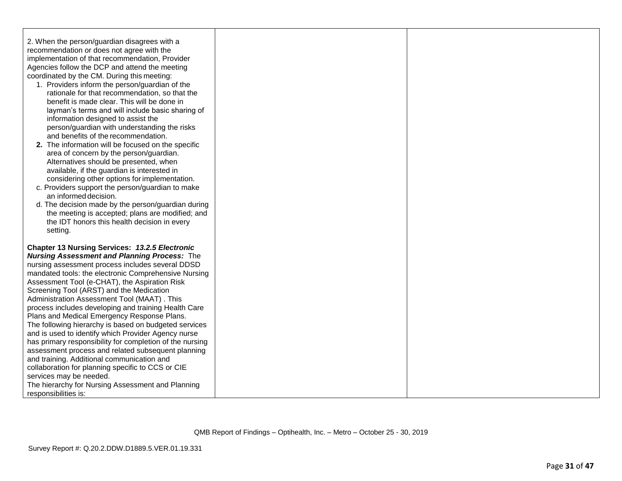| 2. When the person/guardian disagrees with a     |
|--------------------------------------------------|
| recommendation or does not agree with the        |
| implementation of that recommendation, Provider  |
| Agencies follow the DCP and attend the meeting   |
| coordinated by the CM. During this meeting:      |
| 1. Providers inform the person/guardian of the   |
| rationale for that recommendation, so that the   |
| benefit is made clear. This will be done in      |
| layman's terms and will include basic sharing of |
| information designed to assist the               |

and benefits of the recommendation. **2.** The information will be focused on the specific area of concern by the person/guardian. Alternatives should be presented, when available, if the guardian is interested in considering other options for implementation.

person/guardian with understanding the risks

- c. Providers support the person/guardian to make an informed decision.
- d. The decision made by the person/guardian during the meeting is accepted; plans are modified; and the IDT honors this health decision in every setting.

**Chapter 13 Nursing Services:** *13.2.5 Electronic Nursing Assessment and Planning Process:* The nursing assessment process includes several DDSD mandated tools: the electronic Comprehensive Nursing Assessment Tool (e-CHAT), the Aspiration Risk Screening Tool (ARST) and the Medication Administration Assessment Tool (MAAT) . This process includes developing and training Health Care Plans and Medical Emergency Response Plans. The following hierarchy is based on budgeted services and is used to identify which Provider Agency nurse has primary responsibility for completion of the nursing assessment process and related subsequent planning and training. Additional communication and collaboration for planning specific to CCS or CIE services may be needed. The hierarchy for Nursing Assessment and Planning responsibilities is: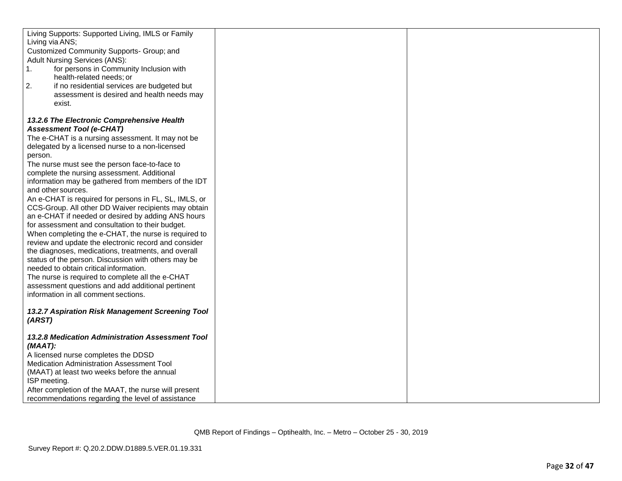| Living Supports: Supported Living, IMLS or Family       |  |
|---------------------------------------------------------|--|
| Living via ANS;                                         |  |
| Customized Community Supports- Group; and               |  |
| Adult Nursing Services (ANS):                           |  |
| 1.<br>for persons in Community Inclusion with           |  |
| health-related needs; or                                |  |
| 2.<br>if no residential services are budgeted but       |  |
| assessment is desired and health needs may              |  |
| exist.                                                  |  |
| 13.2.6 The Electronic Comprehensive Health              |  |
| <b>Assessment Tool (e-CHAT)</b>                         |  |
| The e-CHAT is a nursing assessment. It may not be       |  |
| delegated by a licensed nurse to a non-licensed         |  |
| person.                                                 |  |
| The nurse must see the person face-to-face to           |  |
| complete the nursing assessment. Additional             |  |
| information may be gathered from members of the IDT     |  |
| and other sources.                                      |  |
| An e-CHAT is required for persons in FL, SL, IMLS, or   |  |
| CCS-Group. All other DD Waiver recipients may obtain    |  |
| an e-CHAT if needed or desired by adding ANS hours      |  |
| for assessment and consultation to their budget.        |  |
| When completing the e-CHAT, the nurse is required to    |  |
| review and update the electronic record and consider    |  |
| the diagnoses, medications, treatments, and overall     |  |
| status of the person. Discussion with others may be     |  |
| needed to obtain critical information.                  |  |
| The nurse is required to complete all the e-CHAT        |  |
| assessment questions and add additional pertinent       |  |
| information in all comment sections.                    |  |
|                                                         |  |
| 13.2.7 Aspiration Risk Management Screening Tool        |  |
| (ARST)                                                  |  |
| <b>13.2.8 Medication Administration Assessment Tool</b> |  |
| $(MAAT)$ :                                              |  |
| A licensed nurse completes the DDSD                     |  |
| Medication Administration Assessment Tool               |  |
| (MAAT) at least two weeks before the annual             |  |
| ISP meeting.                                            |  |
| After completion of the MAAT, the nurse will present    |  |
| recommendations regarding the level of assistance       |  |
|                                                         |  |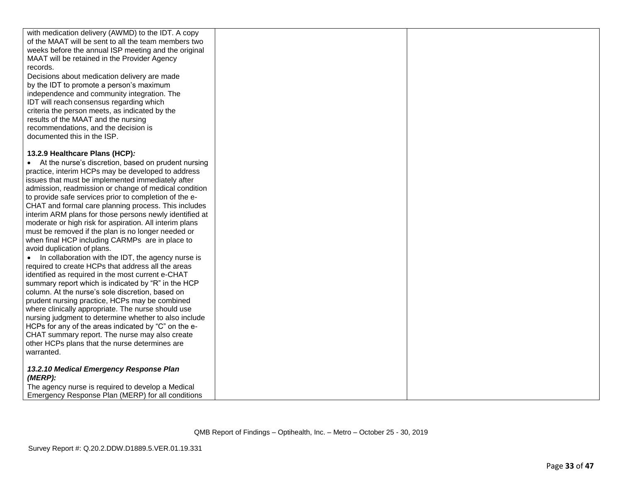| with medication delivery (AWMD) to the IDT. A copy      |  |
|---------------------------------------------------------|--|
| of the MAAT will be sent to all the team members two    |  |
| weeks before the annual ISP meeting and the original    |  |
| MAAT will be retained in the Provider Agency            |  |
| records.                                                |  |
| Decisions about medication delivery are made            |  |
| by the IDT to promote a person's maximum                |  |
| independence and community integration. The             |  |
| IDT will reach consensus regarding which                |  |
| criteria the person meets, as indicated by the          |  |
| results of the MAAT and the nursing                     |  |
| recommendations, and the decision is                    |  |
| documented this in the ISP.                             |  |
|                                                         |  |
| 13.2.9 Healthcare Plans (HCP):                          |  |
| • At the nurse's discretion, based on prudent nursing   |  |
| practice, interim HCPs may be developed to address      |  |
| issues that must be implemented immediately after       |  |
| admission, readmission or change of medical condition   |  |
| to provide safe services prior to completion of the e-  |  |
| CHAT and formal care planning process. This includes    |  |
| interim ARM plans for those persons newly identified at |  |
| moderate or high risk for aspiration. All interim plans |  |
| must be removed if the plan is no longer needed or      |  |
| when final HCP including CARMPs are in place to         |  |
| avoid duplication of plans.                             |  |
| In collaboration with the IDT, the agency nurse is      |  |
| required to create HCPs that address all the areas      |  |
| identified as required in the most current e-CHAT       |  |
| summary report which is indicated by "R" in the HCP     |  |
| column. At the nurse's sole discretion, based on        |  |
| prudent nursing practice, HCPs may be combined          |  |
| where clinically appropriate. The nurse should use      |  |
| nursing judgment to determine whether to also include   |  |
| HCPs for any of the areas indicated by "C" on the e-    |  |
| CHAT summary report. The nurse may also create          |  |
| other HCPs plans that the nurse determines are          |  |
| warranted.                                              |  |
|                                                         |  |
| 13.2.10 Medical Emergency Response Plan                 |  |
| (MERP):                                                 |  |
| The agency nurse is required to develop a Medical       |  |
| Emergency Response Plan (MERP) for all conditions       |  |
|                                                         |  |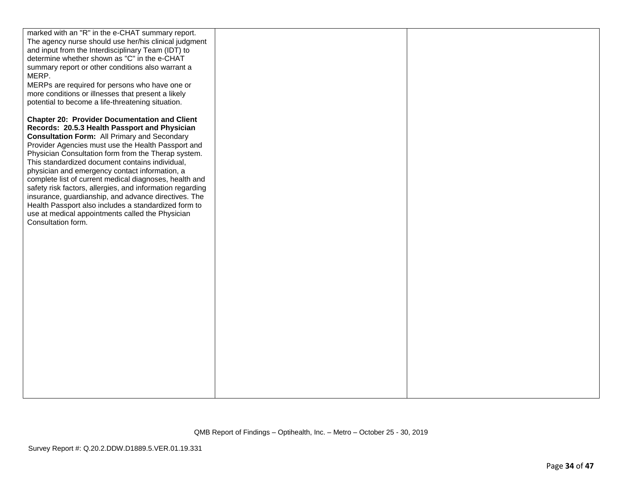| marked with an "R" in the e-CHAT summary report.          |  |
|-----------------------------------------------------------|--|
| The agency nurse should use her/his clinical judgment     |  |
| and input from the Interdisciplinary Team (IDT) to        |  |
| determine whether shown as "C" in the e-CHAT              |  |
| summary report or other conditions also warrant a         |  |
| MERP.                                                     |  |
| MERPs are required for persons who have one or            |  |
| more conditions or illnesses that present a likely        |  |
| potential to become a life-threatening situation.         |  |
| <b>Chapter 20: Provider Documentation and Client</b>      |  |
| Records: 20.5.3 Health Passport and Physician             |  |
| <b>Consultation Form: All Primary and Secondary</b>       |  |
| Provider Agencies must use the Health Passport and        |  |
| Physician Consultation form from the Therap system.       |  |
| This standardized document contains individual,           |  |
| physician and emergency contact information, a            |  |
| complete list of current medical diagnoses, health and    |  |
| safety risk factors, allergies, and information regarding |  |
| insurance, guardianship, and advance directives. The      |  |
| Health Passport also includes a standardized form to      |  |
| use at medical appointments called the Physician          |  |
| Consultation form.                                        |  |
|                                                           |  |
|                                                           |  |
|                                                           |  |
|                                                           |  |
|                                                           |  |
|                                                           |  |
|                                                           |  |
|                                                           |  |
|                                                           |  |
|                                                           |  |
|                                                           |  |
|                                                           |  |
|                                                           |  |
|                                                           |  |
|                                                           |  |
|                                                           |  |
|                                                           |  |
|                                                           |  |
|                                                           |  |
|                                                           |  |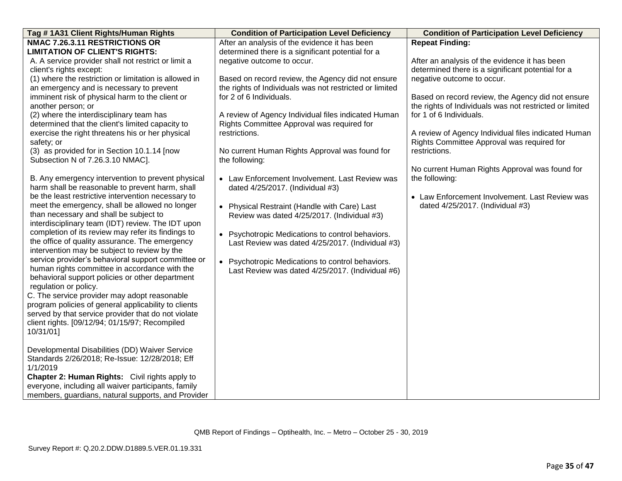| Tag #1A31 Client Rights/Human Rights                                                     | <b>Condition of Participation Level Deficiency</b>          | <b>Condition of Participation Level Deficiency</b>      |
|------------------------------------------------------------------------------------------|-------------------------------------------------------------|---------------------------------------------------------|
| NMAC 7.26.3.11 RESTRICTIONS OR                                                           | After an analysis of the evidence it has been               | <b>Repeat Finding:</b>                                  |
| <b>LIMITATION OF CLIENT'S RIGHTS:</b>                                                    | determined there is a significant potential for a           |                                                         |
| A. A service provider shall not restrict or limit a                                      | negative outcome to occur.                                  | After an analysis of the evidence it has been           |
| client's rights except:                                                                  |                                                             | determined there is a significant potential for a       |
| (1) where the restriction or limitation is allowed in                                    | Based on record review, the Agency did not ensure           | negative outcome to occur.                              |
| an emergency and is necessary to prevent                                                 | the rights of Individuals was not restricted or limited     |                                                         |
| imminent risk of physical harm to the client or                                          | for 2 of 6 Individuals.                                     | Based on record review, the Agency did not ensure       |
| another person; or                                                                       |                                                             | the rights of Individuals was not restricted or limited |
| (2) where the interdisciplinary team has                                                 | A review of Agency Individual files indicated Human         | for 1 of 6 Individuals.                                 |
| determined that the client's limited capacity to                                         | Rights Committee Approval was required for                  |                                                         |
| exercise the right threatens his or her physical                                         | restrictions.                                               | A review of Agency Individual files indicated Human     |
| safety; or                                                                               |                                                             | Rights Committee Approval was required for              |
| (3) as provided for in Section 10.1.14 [now                                              | No current Human Rights Approval was found for              | restrictions.                                           |
| Subsection N of 7.26.3.10 NMAC].                                                         | the following:                                              |                                                         |
|                                                                                          |                                                             | No current Human Rights Approval was found for          |
| B. Any emergency intervention to prevent physical                                        | • Law Enforcement Involvement. Last Review was              | the following:                                          |
| harm shall be reasonable to prevent harm, shall                                          | dated 4/25/2017. (Individual #3)                            |                                                         |
| be the least restrictive intervention necessary to                                       |                                                             | • Law Enforcement Involvement. Last Review was          |
| meet the emergency, shall be allowed no longer<br>than necessary and shall be subject to | Physical Restraint (Handle with Care) Last                  | dated 4/25/2017. (Individual #3)                        |
| interdisciplinary team (IDT) review. The IDT upon                                        | Review was dated 4/25/2017. (Individual #3)                 |                                                         |
| completion of its review may refer its findings to                                       |                                                             |                                                         |
| the office of quality assurance. The emergency                                           | • Psychotropic Medications to control behaviors.            |                                                         |
| intervention may be subject to review by the                                             | Last Review was dated 4/25/2017. (Individual #3)            |                                                         |
| service provider's behavioral support committee or                                       |                                                             |                                                         |
| human rights committee in accordance with the                                            | Psychotropic Medications to control behaviors.<br>$\bullet$ |                                                         |
| behavioral support policies or other department                                          | Last Review was dated 4/25/2017. (Individual #6)            |                                                         |
| regulation or policy.                                                                    |                                                             |                                                         |
| C. The service provider may adopt reasonable                                             |                                                             |                                                         |
| program policies of general applicability to clients                                     |                                                             |                                                         |
| served by that service provider that do not violate                                      |                                                             |                                                         |
| client rights. [09/12/94; 01/15/97; Recompiled                                           |                                                             |                                                         |
| 10/31/01]                                                                                |                                                             |                                                         |
|                                                                                          |                                                             |                                                         |
| Developmental Disabilities (DD) Waiver Service                                           |                                                             |                                                         |
| Standards 2/26/2018; Re-Issue: 12/28/2018; Eff                                           |                                                             |                                                         |
| 1/1/2019                                                                                 |                                                             |                                                         |
| Chapter 2: Human Rights: Civil rights apply to                                           |                                                             |                                                         |
| everyone, including all waiver participants, family                                      |                                                             |                                                         |
| members, guardians, natural supports, and Provider                                       |                                                             |                                                         |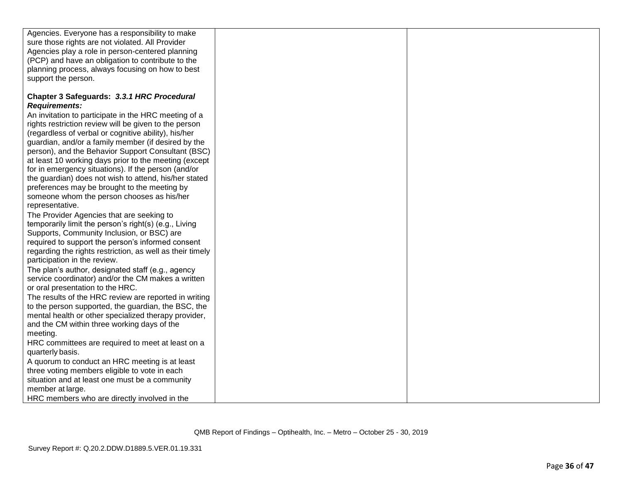| Agencies. Everyone has a responsibility to make           |  |
|-----------------------------------------------------------|--|
| sure those rights are not violated. All Provider          |  |
| Agencies play a role in person-centered planning          |  |
| (PCP) and have an obligation to contribute to the         |  |
| planning process, always focusing on how to best          |  |
| support the person.                                       |  |
| Chapter 3 Safeguards: 3.3.1 HRC Procedural                |  |
| <b>Requirements:</b>                                      |  |
| An invitation to participate in the HRC meeting of a      |  |
| rights restriction review will be given to the person     |  |
| (regardless of verbal or cognitive ability), his/her      |  |
| guardian, and/or a family member (if desired by the       |  |
| person), and the Behavior Support Consultant (BSC)        |  |
| at least 10 working days prior to the meeting (except     |  |
| for in emergency situations). If the person (and/or       |  |
| the guardian) does not wish to attend, his/her stated     |  |
| preferences may be brought to the meeting by              |  |
| someone whom the person chooses as his/her                |  |
| representative.                                           |  |
| The Provider Agencies that are seeking to                 |  |
| temporarily limit the person's right(s) (e.g., Living     |  |
| Supports, Community Inclusion, or BSC) are                |  |
| required to support the person's informed consent         |  |
| regarding the rights restriction, as well as their timely |  |
| participation in the review.                              |  |
|                                                           |  |

The plan's author, designated staff (e.g., agency service coordinator) and/or the CM makes a written or oral presentation to the HRC.

The results of the HRC review are reported in writing to the person supported, the guardian, the BSC, the mental health or other specialized therapy provider, and the CM within three working days of the meeting.

• HRC committees are required to meet at least on a quarterly basis.

• A quorum to conduct an HRC meeting is at least three voting members eligible to vote in each situation and at least one must be a community member at large. • HRC members who are directly involved in the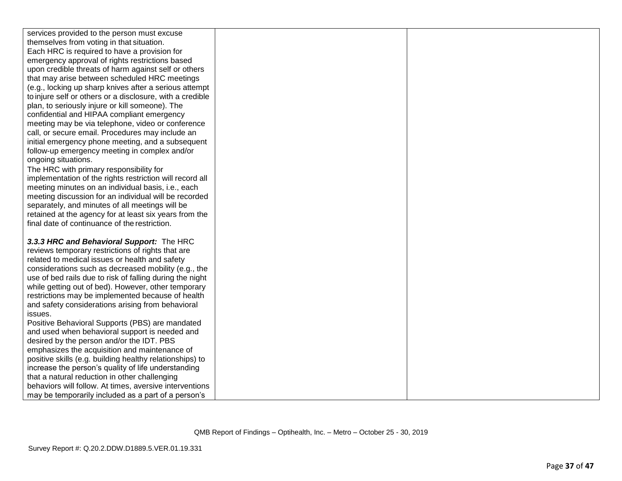services provided to the person must excuse themselves from voting in that situation. Each HRC is required to have a provision for emergency approval of rights restrictions based upon credible threats of harm against self or others that may arise between scheduled HRC meetings (e.g., locking up sharp knives after a serious attempt to injure self or others or a disclosure, with a credible plan, to seriously injure or kill someone). The confidential and HIPAA compliant emergency meeting may be via telephone, video or conference call, or secure email. Procedures may include an initial emergency phone meeting, and a subsequent follow -up emergency meeting in complex and/or ongoing situations.

The HRC with primary responsibility for implementation of the rights restriction will record all meeting minutes on an individual basis, i.e., each meeting discussion for an individual will be recorded separately, and minutes of all meetings will be retained at the agency for at least six years from the final date of continuance of the restriction.

*3.3.3 HRC and Behavioral Support:* The HRC reviews temporary restrictions of rights that are related to medical issues or health and safety considerations such as decreased mobility (e.g., the use of bed rails due to risk of falling during the night while getting out of bed). However, other temporary restrictions may be implemented because of health and safety considerations arising from behavioral issues.

Positive Behavioral Supports (PBS) are mandated and used when behavioral support is needed and desired by the person and/or the IDT. PBS emphasizes the acquisition and maintenance of positive skills (e.g. building healthy relationships) to increase the person's quality of life understanding that a natural reduction in other challenging behaviors will follow. At times, aversive interventions may be temporarily included as a part of a person's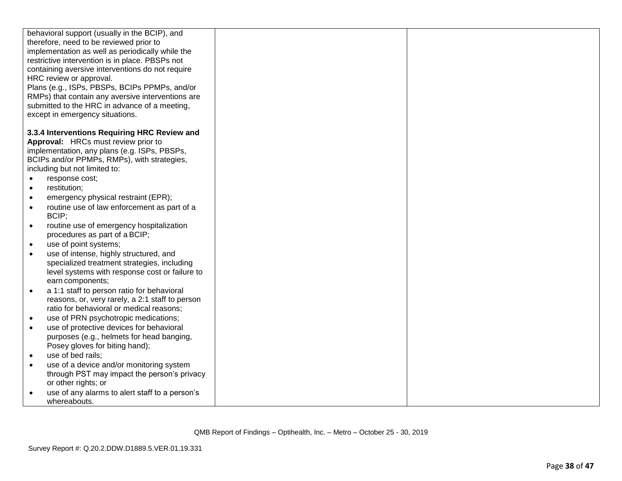|           | behavioral support (usually in the BCIP), and     |  |
|-----------|---------------------------------------------------|--|
|           | therefore, need to be reviewed prior to           |  |
|           | implementation as well as periodically while the  |  |
|           | restrictive intervention is in place. PBSPs not   |  |
|           | containing aversive interventions do not require  |  |
|           | HRC review or approval.                           |  |
|           | Plans (e.g., ISPs, PBSPs, BCIPs PPMPs, and/or     |  |
|           | RMPs) that contain any aversive interventions are |  |
|           | submitted to the HRC in advance of a meeting,     |  |
|           | except in emergency situations.                   |  |
|           |                                                   |  |
|           | 3.3.4 Interventions Requiring HRC Review and      |  |
|           | Approval: HRCs must review prior to               |  |
|           | implementation, any plans (e.g. ISPs, PBSPs,      |  |
|           | BCIPs and/or PPMPs, RMPs), with strategies,       |  |
|           | including but not limited to:                     |  |
|           | response cost;                                    |  |
| $\bullet$ | restitution;                                      |  |
| $\bullet$ | emergency physical restraint (EPR);               |  |
| $\bullet$ | routine use of law enforcement as part of a       |  |
|           | BCIP;                                             |  |
| $\bullet$ | routine use of emergency hospitalization          |  |
|           | procedures as part of a BCIP;                     |  |
| $\bullet$ | use of point systems;                             |  |
| $\bullet$ | use of intense, highly structured, and            |  |
|           | specialized treatment strategies, including       |  |
|           | level systems with response cost or failure to    |  |
|           | earn components;                                  |  |
| $\bullet$ | a 1:1 staff to person ratio for behavioral        |  |
|           | reasons, or, very rarely, a 2:1 staff to person   |  |
|           | ratio for behavioral or medical reasons;          |  |
| $\bullet$ | use of PRN psychotropic medications;              |  |
| $\bullet$ | use of protective devices for behavioral          |  |
|           | purposes (e.g., helmets for head banging,         |  |
|           | Posey gloves for biting hand);                    |  |
|           | use of bed rails:                                 |  |
| $\bullet$ | use of a device and/or monitoring system          |  |
|           | through PST may impact the person's privacy       |  |
|           | or other rights; or                               |  |
|           | use of any alarms to alert staff to a person's    |  |
|           | whereabouts.                                      |  |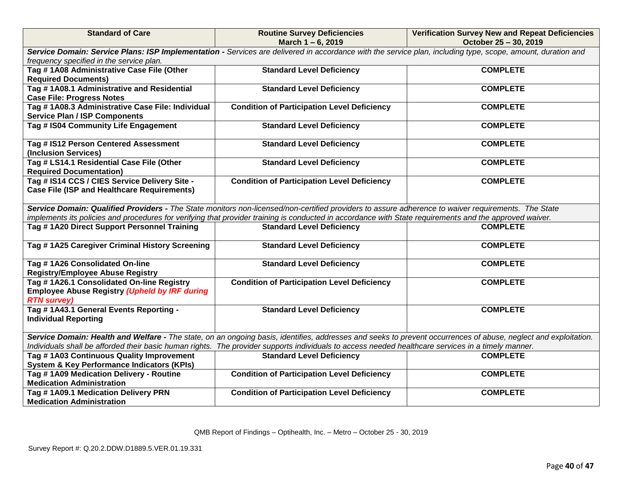| <b>Standard of Care</b>                                                                                                                                                                                                                                                                                               | <b>Routine Survey Deficiencies</b><br>March 1-6, 2019                                                                                                                                                                                                                                                          | <b>Verification Survey New and Repeat Deficiencies</b><br>October 25 - 30, 2019 |  |  |
|-----------------------------------------------------------------------------------------------------------------------------------------------------------------------------------------------------------------------------------------------------------------------------------------------------------------------|----------------------------------------------------------------------------------------------------------------------------------------------------------------------------------------------------------------------------------------------------------------------------------------------------------------|---------------------------------------------------------------------------------|--|--|
| Service Domain: Service Plans: ISP Implementation - Services are delivered in accordance with the service plan, including type, scope, amount, duration and<br>frequency specified in the service plan.                                                                                                               |                                                                                                                                                                                                                                                                                                                |                                                                                 |  |  |
| Tag # 1A08 Administrative Case File (Other<br><b>Required Documents)</b>                                                                                                                                                                                                                                              | <b>Standard Level Deficiency</b>                                                                                                                                                                                                                                                                               | <b>COMPLETE</b>                                                                 |  |  |
| Tag #1A08.1 Administrative and Residential<br><b>Case File: Progress Notes</b>                                                                                                                                                                                                                                        | <b>Standard Level Deficiency</b>                                                                                                                                                                                                                                                                               | <b>COMPLETE</b>                                                                 |  |  |
| Tag #1A08.3 Administrative Case File: Individual<br><b>Service Plan / ISP Components</b>                                                                                                                                                                                                                              | <b>Condition of Participation Level Deficiency</b>                                                                                                                                                                                                                                                             | <b>COMPLETE</b>                                                                 |  |  |
| Tag # IS04 Community Life Engagement                                                                                                                                                                                                                                                                                  | <b>Standard Level Deficiency</b>                                                                                                                                                                                                                                                                               | <b>COMPLETE</b>                                                                 |  |  |
| Tag # IS12 Person Centered Assessment<br>(Inclusion Services)                                                                                                                                                                                                                                                         | <b>Standard Level Deficiency</b>                                                                                                                                                                                                                                                                               | <b>COMPLETE</b>                                                                 |  |  |
| Tag # LS14.1 Residential Case File (Other<br><b>Required Documentation)</b>                                                                                                                                                                                                                                           | <b>Standard Level Deficiency</b>                                                                                                                                                                                                                                                                               | <b>COMPLETE</b>                                                                 |  |  |
| Tag # IS14 CCS / CIES Service Delivery Site -<br><b>Case File (ISP and Healthcare Requirements)</b>                                                                                                                                                                                                                   | <b>Condition of Participation Level Deficiency</b>                                                                                                                                                                                                                                                             | <b>COMPLETE</b>                                                                 |  |  |
|                                                                                                                                                                                                                                                                                                                       | Service Domain: Qualified Providers - The State monitors non-licensed/non-certified providers to assure adherence to waiver requirements. The State<br>implements its policies and procedures for verifying that provider training is conducted in accordance with State requirements and the approved waiver. |                                                                                 |  |  |
| Tag #1A20 Direct Support Personnel Training                                                                                                                                                                                                                                                                           | <b>Standard Level Deficiency</b>                                                                                                                                                                                                                                                                               | <b>COMPLETE</b>                                                                 |  |  |
| Tag #1A25 Caregiver Criminal History Screening                                                                                                                                                                                                                                                                        | <b>Standard Level Deficiency</b>                                                                                                                                                                                                                                                                               | <b>COMPLETE</b>                                                                 |  |  |
| Tag #1A26 Consolidated On-line<br><b>Registry/Employee Abuse Registry</b>                                                                                                                                                                                                                                             | <b>Standard Level Deficiency</b>                                                                                                                                                                                                                                                                               | <b>COMPLETE</b>                                                                 |  |  |
| Tag #1A26.1 Consolidated On-line Registry<br><b>Employee Abuse Registry (Upheld by IRF during</b><br><b>RTN survey)</b>                                                                                                                                                                                               | <b>Condition of Participation Level Deficiency</b>                                                                                                                                                                                                                                                             | <b>COMPLETE</b>                                                                 |  |  |
| Tag #1A43.1 General Events Reporting -<br><b>Individual Reporting</b>                                                                                                                                                                                                                                                 | <b>Standard Level Deficiency</b>                                                                                                                                                                                                                                                                               | <b>COMPLETE</b>                                                                 |  |  |
| Service Domain: Health and Welfare - The state, on an ongoing basis, identifies, addresses and seeks to prevent occurrences of abuse, neglect and exploitation.<br>Individuals shall be afforded their basic human rights. The provider supports individuals to access needed healthcare services in a timely manner. |                                                                                                                                                                                                                                                                                                                |                                                                                 |  |  |
| Tag #1A03 Continuous Quality Improvement<br><b>System &amp; Key Performance Indicators (KPIs)</b>                                                                                                                                                                                                                     | <b>Standard Level Deficiency</b>                                                                                                                                                                                                                                                                               | <b>COMPLETE</b>                                                                 |  |  |
| Tag #1A09 Medication Delivery - Routine<br><b>Medication Administration</b>                                                                                                                                                                                                                                           | <b>Condition of Participation Level Deficiency</b>                                                                                                                                                                                                                                                             | <b>COMPLETE</b>                                                                 |  |  |
| Tag #1A09.1 Medication Delivery PRN<br><b>Medication Administration</b>                                                                                                                                                                                                                                               | <b>Condition of Participation Level Deficiency</b>                                                                                                                                                                                                                                                             | <b>COMPLETE</b>                                                                 |  |  |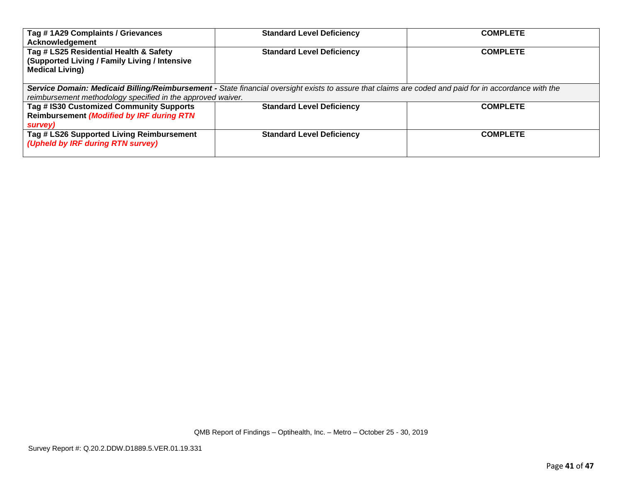| Tag #1A29 Complaints / Grievances<br>Acknowledgement                                                                                                  | <b>Standard Level Deficiency</b> | <b>COMPLETE</b> |  |
|-------------------------------------------------------------------------------------------------------------------------------------------------------|----------------------------------|-----------------|--|
| Tag # LS25 Residential Health & Safety<br>(Supported Living / Family Living / Intensive<br><b>Medical Living)</b>                                     | <b>Standard Level Deficiency</b> | <b>COMPLETE</b> |  |
| Service Domain: Medicaid Billing/Reimbursement - State financial oversight exists to assure that claims are coded and paid for in accordance with the |                                  |                 |  |
| reimbursement methodology specified in the approved waiver.                                                                                           |                                  |                 |  |
| Tag # IS30 Customized Community Supports                                                                                                              | <b>Standard Level Deficiency</b> | <b>COMPLETE</b> |  |
| <b>Reimbursement (Modified by IRF during RTN</b>                                                                                                      |                                  |                 |  |
| survey)                                                                                                                                               |                                  |                 |  |
| Tag # LS26 Supported Living Reimbursement<br>(Upheld by IRF during RTN survey)                                                                        | <b>Standard Level Deficiency</b> | <b>COMPLETE</b> |  |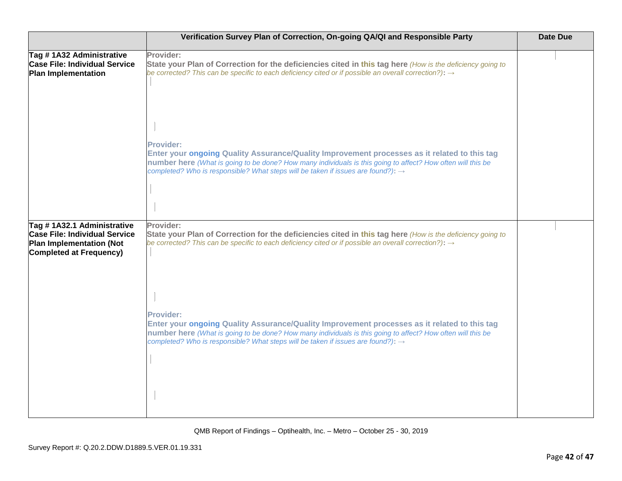|                                                                                                 | Verification Survey Plan of Correction, On-going QA/QI and Responsible Party                                                                                                                                                                                                                                                                                                                                                                  | <b>Date Due</b> |
|-------------------------------------------------------------------------------------------------|-----------------------------------------------------------------------------------------------------------------------------------------------------------------------------------------------------------------------------------------------------------------------------------------------------------------------------------------------------------------------------------------------------------------------------------------------|-----------------|
| Tag # 1A32 Administrative<br><b>Case File: Individual Service</b><br><b>Plan Implementation</b> | Provider:<br>State your Plan of Correction for the deficiencies cited in this tag here (How is the deficiency going to<br>be corrected? This can be specific to each deficiency cited or if possible an overall correction?): $\rightarrow$                                                                                                                                                                                                   |                 |
|                                                                                                 | Provider:<br>Enter your ongoing Quality Assurance/Quality Improvement processes as it related to this tag<br>number here (What is going to be done? How many individuals is this going to affect? How often will this be<br>completed? Who is responsible? What steps will be taken if issues are found?): $\rightarrow$                                                                                                                      |                 |
| Tag # 1A32.1 Administrative<br><b>Case File: Individual Service</b>                             | Provider:<br>State your Plan of Correction for the deficiencies cited in this tag here (How is the deficiency going to                                                                                                                                                                                                                                                                                                                        |                 |
| <b>Plan Implementation (Not</b><br><b>Completed at Frequency)</b>                               | be corrected? This can be specific to each deficiency cited or if possible an overall correction?): $\rightarrow$<br>Provider:<br>Enter your ongoing Quality Assurance/Quality Improvement processes as it related to this tag<br>number here (What is going to be done? How many individuals is this going to affect? How often will this be<br>completed? Who is responsible? What steps will be taken if issues are found?): $\rightarrow$ |                 |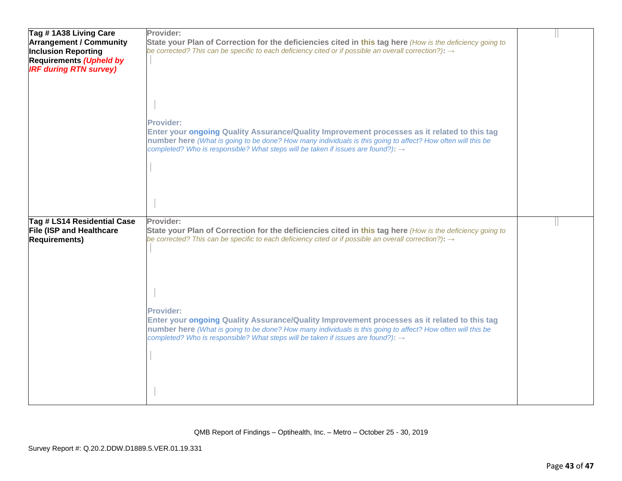| Tag # 1A38 Living Care          | Provider:                                                                                                         |  |
|---------------------------------|-------------------------------------------------------------------------------------------------------------------|--|
| <b>Arrangement / Community</b>  | State your Plan of Correction for the deficiencies cited in this tag here (How is the deficiency going to         |  |
|                                 | be corrected? This can be specific to each deficiency cited or if possible an overall correction?): $\rightarrow$ |  |
| <b>Inclusion Reporting</b>      |                                                                                                                   |  |
| <b>Requirements (Upheld by</b>  |                                                                                                                   |  |
| <b>IRF during RTN survey)</b>   |                                                                                                                   |  |
|                                 |                                                                                                                   |  |
|                                 |                                                                                                                   |  |
|                                 |                                                                                                                   |  |
|                                 |                                                                                                                   |  |
|                                 |                                                                                                                   |  |
|                                 | <b>Provider:</b>                                                                                                  |  |
|                                 | Enter your ongoing Quality Assurance/Quality Improvement processes as it related to this tag                      |  |
|                                 | number here (What is going to be done? How many individuals is this going to affect? How often will this be       |  |
|                                 | completed? Who is responsible? What steps will be taken if issues are found?): $\rightarrow$                      |  |
|                                 |                                                                                                                   |  |
|                                 |                                                                                                                   |  |
|                                 |                                                                                                                   |  |
|                                 |                                                                                                                   |  |
|                                 |                                                                                                                   |  |
|                                 |                                                                                                                   |  |
|                                 |                                                                                                                   |  |
| Tag # LS14 Residential Case     | Provider:                                                                                                         |  |
|                                 |                                                                                                                   |  |
| <b>File (ISP and Healthcare</b> | State your Plan of Correction for the deficiencies cited in this tag here (How is the deficiency going to         |  |
| <b>Requirements)</b>            | be corrected? This can be specific to each deficiency cited or if possible an overall correction?): $\rightarrow$ |  |
|                                 |                                                                                                                   |  |
|                                 |                                                                                                                   |  |
|                                 |                                                                                                                   |  |
|                                 |                                                                                                                   |  |
|                                 |                                                                                                                   |  |
|                                 |                                                                                                                   |  |
|                                 |                                                                                                                   |  |
|                                 | Provider:                                                                                                         |  |
|                                 | Enter your ongoing Quality Assurance/Quality Improvement processes as it related to this tag                      |  |
|                                 | number here (What is going to be done? How many individuals is this going to affect? How often will this be       |  |
|                                 | completed? Who is responsible? What steps will be taken if issues are found?): $\rightarrow$                      |  |
|                                 |                                                                                                                   |  |
|                                 |                                                                                                                   |  |
|                                 |                                                                                                                   |  |
|                                 |                                                                                                                   |  |
|                                 |                                                                                                                   |  |
|                                 |                                                                                                                   |  |
|                                 |                                                                                                                   |  |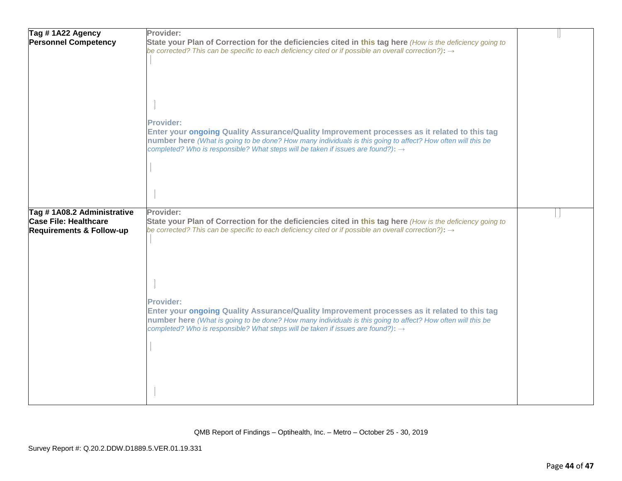| Tag #1A22 Agency<br><b>Personnel Competency</b>                                                   | Provider:<br>State your Plan of Correction for the deficiencies cited in this tag here (How is the deficiency going to<br>be corrected? This can be specific to each deficiency cited or if possible an overall correction?): $\rightarrow$                                                                              |  |
|---------------------------------------------------------------------------------------------------|--------------------------------------------------------------------------------------------------------------------------------------------------------------------------------------------------------------------------------------------------------------------------------------------------------------------------|--|
|                                                                                                   | Provider:<br>Enter your ongoing Quality Assurance/Quality Improvement processes as it related to this tag<br>number here (What is going to be done? How many individuals is this going to affect? How often will this be<br>completed? Who is responsible? What steps will be taken if issues are found?): $\rightarrow$ |  |
| Tag #1A08.2 Administrative<br><b>Case File: Healthcare</b><br><b>Requirements &amp; Follow-up</b> | Provider:<br>State your Plan of Correction for the deficiencies cited in this tag here (How is the deficiency going to<br>be corrected? This can be specific to each deficiency cited or if possible an overall correction?): $\rightarrow$                                                                              |  |
|                                                                                                   | Provider:<br>Enter your ongoing Quality Assurance/Quality Improvement processes as it related to this tag<br>number here (What is going to be done? How many individuals is this going to affect? How often will this be<br>completed? Who is responsible? What steps will be taken if issues are found?): $\rightarrow$ |  |
|                                                                                                   |                                                                                                                                                                                                                                                                                                                          |  |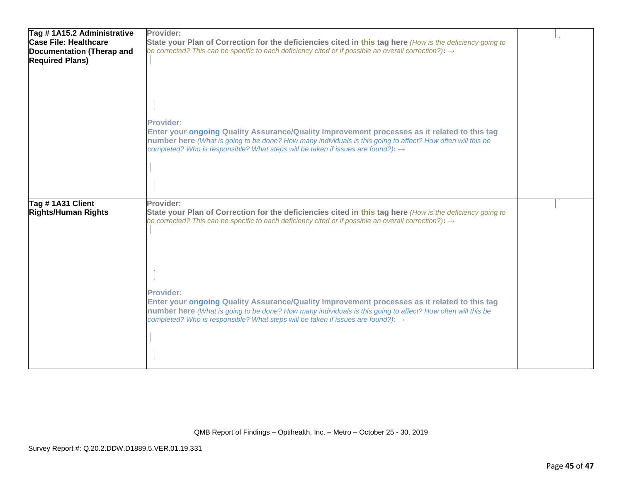| Tag #1A15.2 Administrative   | Provider:                                                                                                                                                                                                                                                                                                                       |  |
|------------------------------|---------------------------------------------------------------------------------------------------------------------------------------------------------------------------------------------------------------------------------------------------------------------------------------------------------------------------------|--|
| <b>Case File: Healthcare</b> | State your Plan of Correction for the deficiencies cited in this tag here (How is the deficiency going to                                                                                                                                                                                                                       |  |
| Documentation (Therap and    | be corrected? This can be specific to each deficiency cited or if possible an overall correction?): $\rightarrow$                                                                                                                                                                                                               |  |
| <b>Required Plans)</b>       |                                                                                                                                                                                                                                                                                                                                 |  |
|                              | Provider:<br>Enter your ongoing Quality Assurance/Quality Improvement processes as it related to this tag<br>number here (What is going to be done? How many individuals is this going to affect? How often will this be<br>completed? Who is responsible? What steps will be taken if issues are found?): $\rightarrow$        |  |
| Tag # 1A31 Client            | Provider:                                                                                                                                                                                                                                                                                                                       |  |
| <b>Rights/Human Rights</b>   | State your Plan of Correction for the deficiencies cited in this tag here (How is the deficiency going to<br>be corrected? This can be specific to each deficiency cited or if possible an overall correction?): $\rightarrow$                                                                                                  |  |
|                              | <b>Provider:</b><br>Enter your ongoing Quality Assurance/Quality Improvement processes as it related to this tag<br>number here (What is going to be done? How many individuals is this going to affect? How often will this be<br>completed? Who is responsible? What steps will be taken if issues are found?): $\rightarrow$ |  |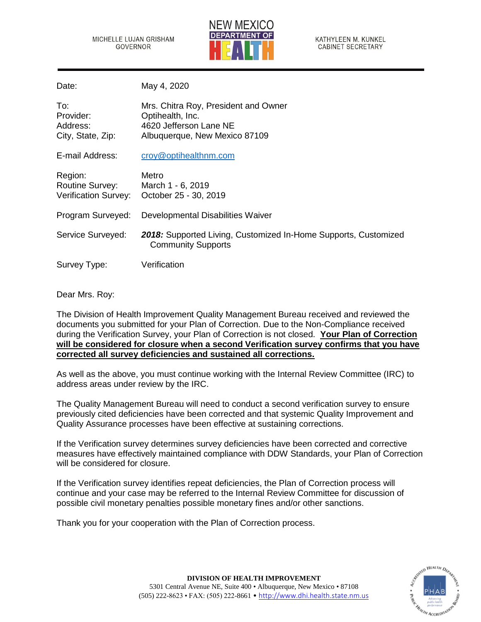MICHELLE LUJAN GRISHAM **GOVERNOR** 



KATHYLEEN M. KUNKEL **CABINET SECRETARY** 

Date: May 4, 2020

| To:<br>Provider:<br>Address:<br>City, State, Zip:                | Mrs. Chitra Roy, President and Owner<br>Optihealth, Inc.<br>4620 Jefferson Lane NE<br>Albuquerque, New Mexico 87109 |
|------------------------------------------------------------------|---------------------------------------------------------------------------------------------------------------------|
| E-mail Address:                                                  | croy@optihealthnm.com                                                                                               |
| Region:<br><b>Routine Survey:</b><br><b>Verification Survey:</b> | Metro<br>March 1 - 6, 2019<br>October 25 - 30, 2019                                                                 |
| Program Surveyed:                                                | Developmental Disabilities Waiver                                                                                   |
| Service Surveyed:                                                | 2018: Supported Living, Customized In-Home Supports, Customized<br><b>Community Supports</b>                        |
| Survey Type:                                                     | Verification                                                                                                        |

Dear Mrs. Roy:

The Division of Health Improvement Quality Management Bureau received and reviewed the documents you submitted for your Plan of Correction. Due to the Non-Compliance received during the Verification Survey, your Plan of Correction is not closed. **Your Plan of Correction will be considered for closure when a second Verification survey confirms that you have corrected all survey deficiencies and sustained all corrections.** 

As well as the above, you must continue working with the Internal Review Committee (IRC) to address areas under review by the IRC.

The Quality Management Bureau will need to conduct a second verification survey to ensure previously cited deficiencies have been corrected and that systemic Quality Improvement and Quality Assurance processes have been effective at sustaining corrections.

If the Verification survey determines survey deficiencies have been corrected and corrective measures have effectively maintained compliance with DDW Standards, your Plan of Correction will be considered for closure.

If the Verification survey identifies repeat deficiencies, the Plan of Correction process will continue and your case may be referred to the Internal Review Committee for discussion of possible civil monetary penalties possible monetary fines and/or other sanctions.

Thank you for your cooperation with the Plan of Correction process.